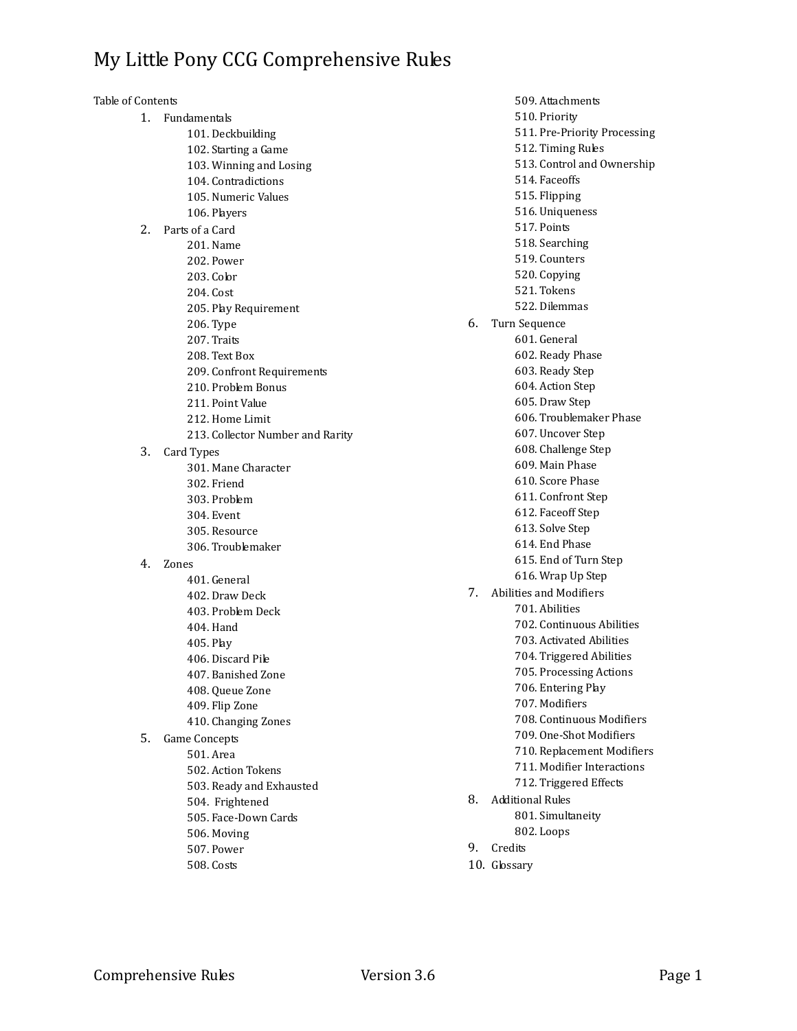Table of Contents 1. Fundamentals 101. Deckbuilding 102. Starting a Game 103. Winning and Losing 104. Contradictions 105. Numeric Values 106. Players 2. Parts of a Card 201. Name 202. Power 203. Color 204. Cost 205. Play Requirement 206. Type 207. Traits 208. Text Box 209. Confront Requirements 210. Problem Bonus 211. Point Value 212. Home Limit 213. Collector Number and Rarity 3. Card Types 301. Mane Character 302. Friend 303. Problem 304. Event 305. Resource 306. Troublemaker 4. Zones 401. General 402. Draw Deck 403. Problem Deck 404. Hand 405. Play 406. Discard Pile 407. Banished Zone 408. Queue Zone 409. Flip Zone 410. Changing Zones 5. Game Concepts 501. Area 502. Action Tokens 503. Ready and Exhausted 504. Frightened 505. Face-Down Cards 506. Moving 507. Power 508. Costs

509. Attachments 510. Priority 511. Pre-Priority Processing 512. Timing Rules 513. Control and Ownership 514. Faceoffs 515. Flipping 516. Uniqueness 517. Points 518. Searching 519. Counters 520. Copying 521. Tokens 522. Dilemmas 6. Turn Sequence 601. General 602. Ready Phase 603. Ready Step 604. Action Step 605. Draw Step 606. Troublemaker Phase 607. Uncover Step 608. Challenge Step 609. Main Phase 610. Score Phase 611. Confront Step 612. Faceoff Step 613. Solve Step 614. End Phase 615. End of Turn Step 616. Wrap Up Step 7. Abilities and Modifiers 701. Abilities 702. Continuous Abilities 703. Activated Abilities 704. Triggered Abilities 705. Processing Actions 706. Entering Play 707. Modifiers 708. Continuous Modifiers 709. One-Shot Modifiers 710. Replacement Modifiers 711. Modifier Interactions 712. Triggered Effects 8. Additional Rules 801. Simultaneity 802. Loops 9. Credits 10. Glossary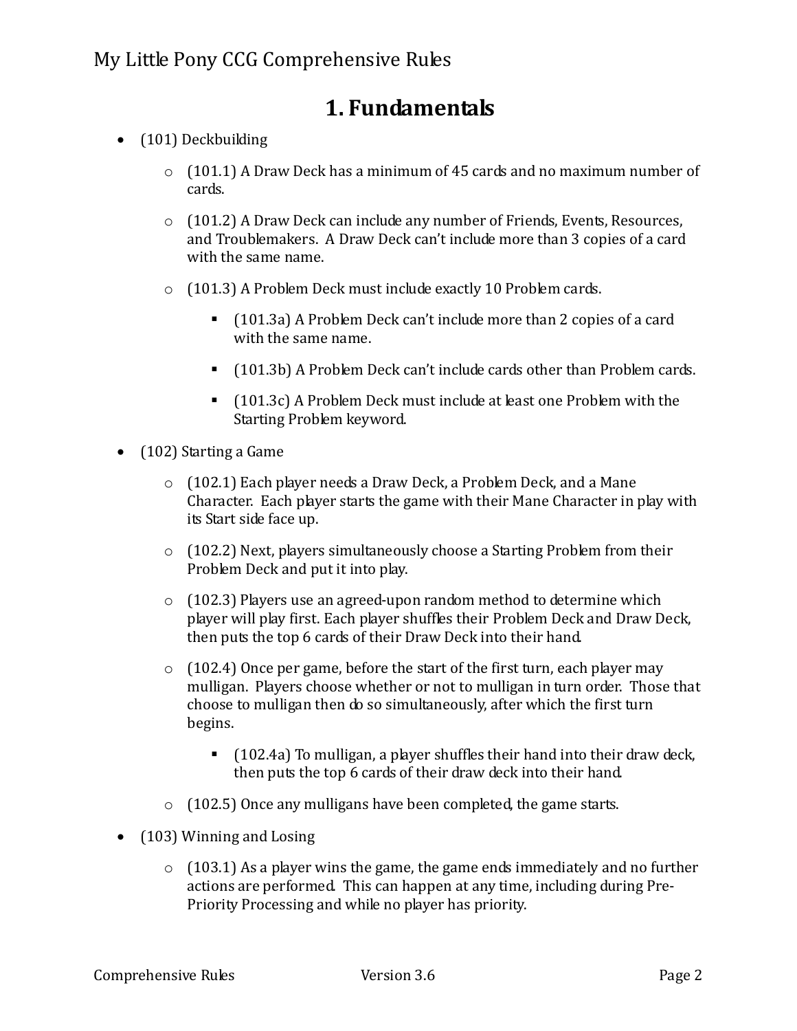## **1. Fundamentals**

- (101) Deckbuilding
	- $\circ$  (101.1) A Draw Deck has a minimum of 45 cards and no maximum number of cards.
	- o (101.2) A Draw Deck can include any number of Friends, Events, Resources, and Troublemakers. A Draw Deck can't include more than 3 copies of a card with the same name.
	- o (101.3) A Problem Deck must include exactly 10 Problem cards.
		- (101.3a) A Problem Deck can't include more than 2 copies of a card with the same name.
		- (101.3b) A Problem Deck can't include cards other than Problem cards.
		- (101.3c) A Problem Deck must include at least one Problem with the Starting Problem keyword.
- (102) Starting a Game
	- o (102.1) Each player needs a Draw Deck, a Problem Deck, and a Mane Character. Each player starts the game with their Mane Character in play with its Start side face up.
	- o (102.2) Next, players simultaneously choose a Starting Problem from their Problem Deck and put it into play.
	- o (102.3) Players use an agreed-upon random method to determine which player will play first. Each player shuffles their Problem Deck and Draw Deck, then puts the top 6 cards of their Draw Deck into their hand.
	- $\circ$  (102.4) Once per game, before the start of the first turn, each player may mulligan. Players choose whether or not to mulligan in turn order. Those that choose to mulligan then do so simultaneously, after which the first turn begins.
		- (102.4a) To mulligan, a player shuffles their hand into their draw deck, then puts the top 6 cards of their draw deck into their hand.
	- o (102.5) Once any mulligans have been completed, the game starts.
- (103) Winning and Losing
	- $\circ$  (103.1) As a player wins the game, the game ends immediately and no further actions are performed. This can happen at any time, including during Pre-Priority Processing and while no player has priority.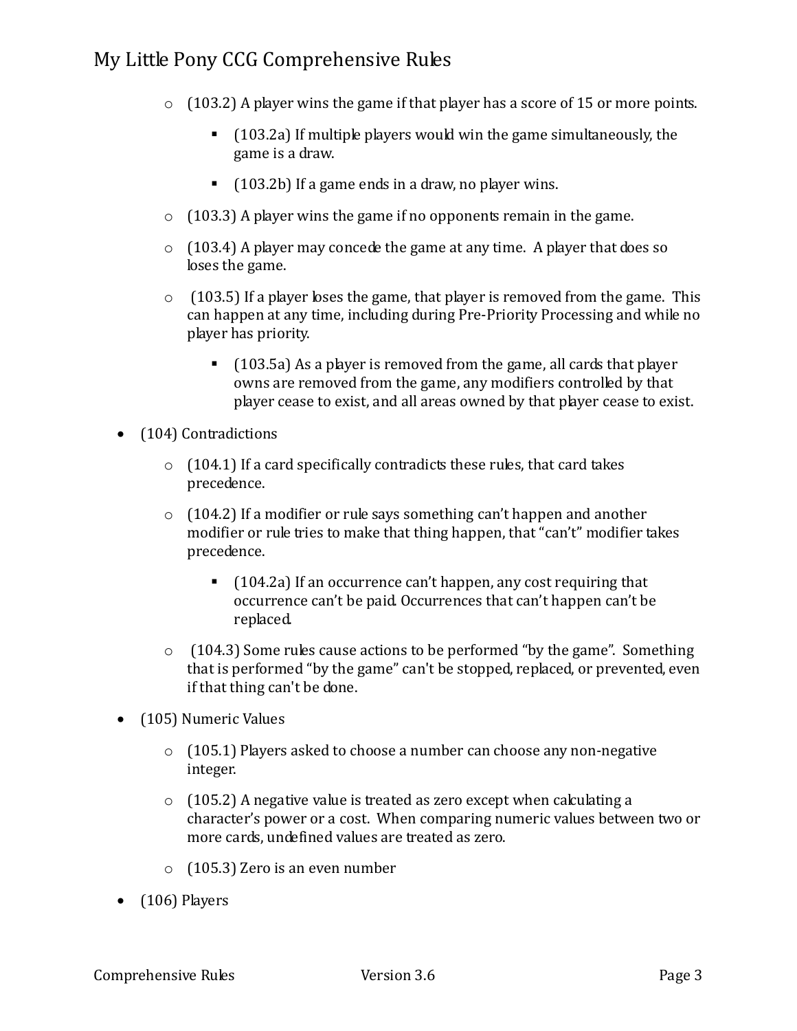- $\circ$  (103.2) A player wins the game if that player has a score of 15 or more points.
	- $\blacksquare$  (103.2a) If multiple players would win the game simultaneously, the game is a draw.
	- (103.2b) If a game ends in a draw, no player wins.
- $\circ$  (103.3) A player wins the game if no opponents remain in the game.
- o (103.4) A player may concede the game at any time. A player that does so loses the game.
- $\circ$  (103.5) If a player loses the game, that player is removed from the game. This can happen at any time, including during Pre-Priority Processing and while no player has priority.
	- (103.5a) As a player is removed from the game, all cards that player owns are removed from the game, any modifiers controlled by that player cease to exist, and all areas owned by that player cease to exist.
- (104) Contradictions
	- $\circ$  (104.1) If a card specifically contradicts these rules, that card takes precedence.
	- o (104.2) If a modifier or rule says something can't happen and another modifier or rule tries to make that thing happen, that "can't" modifier takes precedence.
		- (104.2a) If an occurrence can't happen, any cost requiring that occurrence can't be paid. Occurrences that can't happen can't be replaced.
	- o (104.3) Some rules cause actions to be performed "by the game". Something that is performed "by the game" can't be stopped, replaced, or prevented, even if that thing can't be done.
- (105) Numeric Values
	- o (105.1) Players asked to choose a number can choose any non-negative integer.
	- $\circ$  (105.2) A negative value is treated as zero except when calculating a character's power or a cost. When comparing numeric values between two or more cards, undefined values are treated as zero.
	- o (105.3) Zero is an even number
- $\bullet$  (106) Players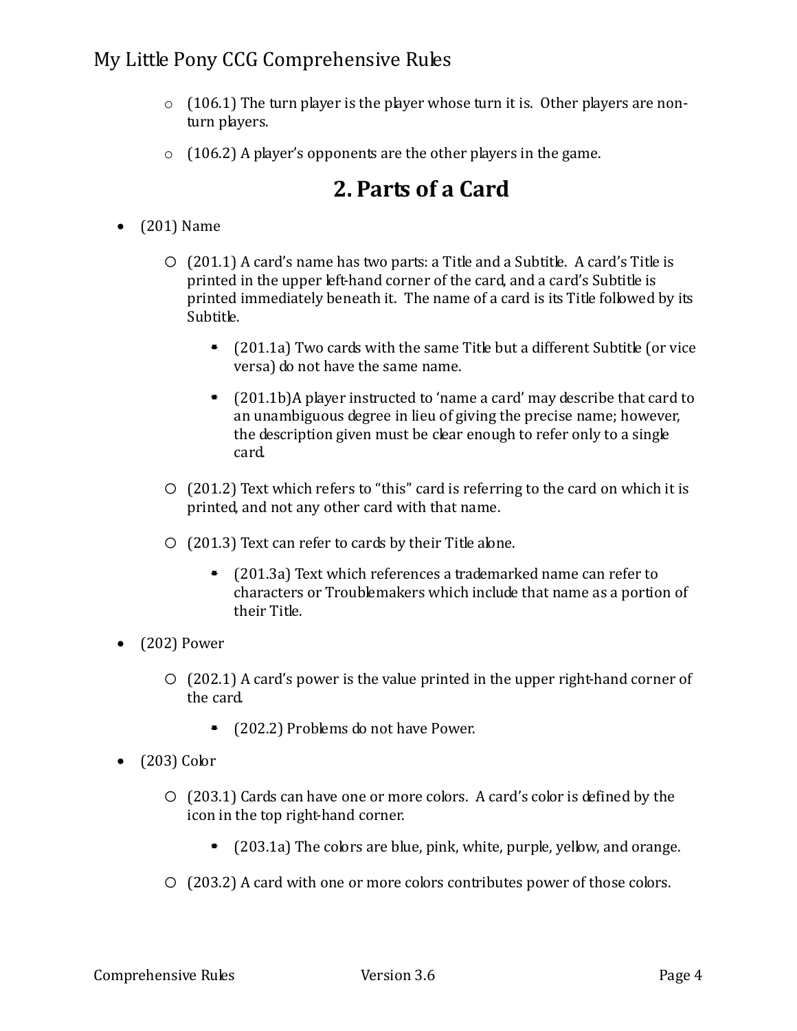- $\circ$  (106.1) The turn player is the player whose turn it is. Other players are nonturn players.
- $\circ$  (106.2) A player's opponents are the other players in the game.

## **2. Parts of a Card**

- (201) Name
	- $\circ$  (201.1) A card's name has two parts: a Title and a Subtitle. A card's Title is printed in the upper left-hand corner of the card, and a card's Subtitle is printed immediately beneath it. The name of a card is its Title followed by its Subtitle.
		- (201.1a) Two cards with the same Title but a different Subtitle (or vice versa) do not have the same name.
		- (201.1b)A player instructed to 'name a card' may describe that card to an unambiguous degree in lieu of giving the precise name; however, the description given must be clear enough to refer only to a single card.
	- o (201.2) Text which refers to "this" card is referring to the card on which it is printed, and not any other card with that name.
	- $\circ$  (201.3) Text can refer to cards by their Title alone.
		- (201.3a) Text which references a trademarked name can refer to characters or Troublemakers which include that name as a portion of their Title.
- (202) Power
	- o (202.1) A card's power is the value printed in the upper right-hand corner of the card.
		- (202.2) Problems do not have Power.
- (203) Color
	- o (203.1) Cards can have one or more colors. A card's color is defined by the icon in the top right-hand corner.
		- $\blacksquare$  (203.1a) The colors are blue, pink, white, purple, yellow, and orange.
	- o (203.2) A card with one or more colors contributes power of those colors.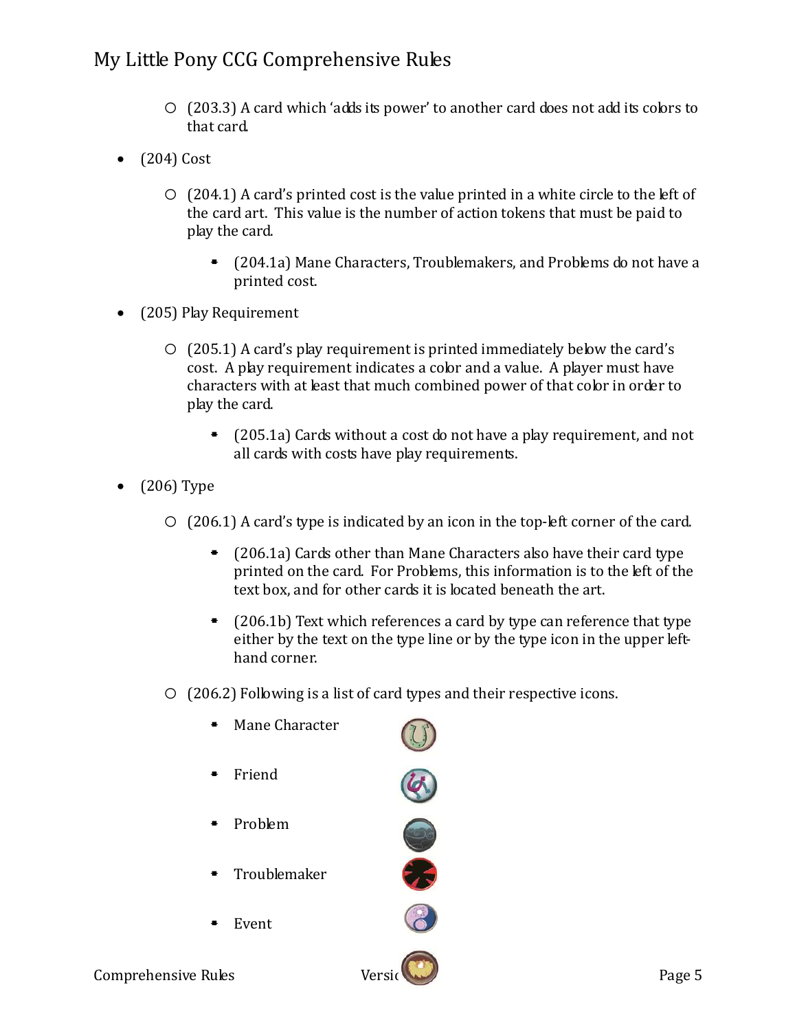- o (203.3) A card which 'adds its power' to another card does not add its colors to that card.
- $\bullet$  (204) Cost
	- $\circ$  (204.1) A card's printed cost is the value printed in a white circle to the left of the card art. This value is the number of action tokens that must be paid to play the card.
		- (204.1a) Mane Characters, Troublemakers, and Problems do not have a printed cost.
- (205) Play Requirement
	- o (205.1) A card's play requirement is printed immediately below the card's cost. A play requirement indicates a color and a value. A player must have characters with at least that much combined power of that color in order to play the card.
		- $\blacksquare$  (205.1a) Cards without a cost do not have a play requirement, and not all cards with costs have play requirements.
- (206) Type
	- $\circ$  (206.1) A card's type is indicated by an icon in the top-left corner of the card.
		- (206.1a) Cards other than Mane Characters also have their card type printed on the card. For Problems, this information is to the left of the text box, and for other cards it is located beneath the art.
		- $\blacksquare$  (206.1b) Text which references a card by type can reference that type either by the text on the type line or by the type icon in the upper lefthand corner.
	- o (206.2) Following is a list of card types and their respective icons.

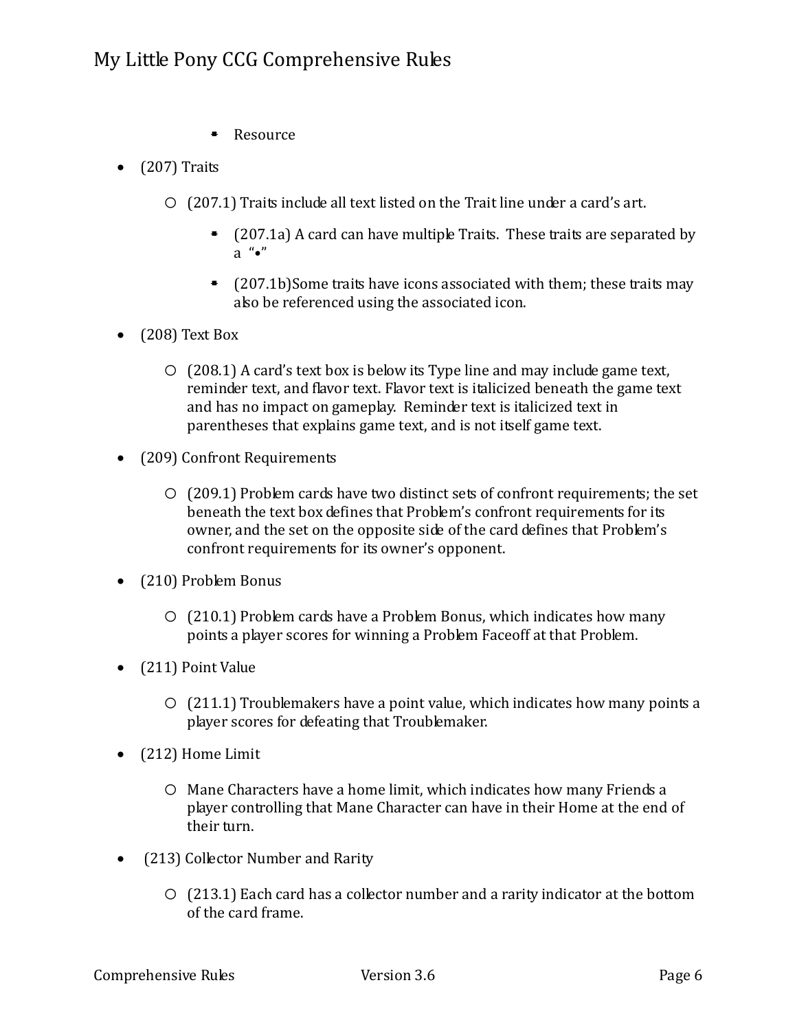- **Resource**
- $\bullet$  (207) Traits
	- o (207.1) Traits include all text listed on the Trait line under a card's art.
		- $(207.1a)$  A card can have multiple Traits. These traits are separated by a "•"
		- $(207.1b)$ Some traits have icons associated with them; these traits may also be referenced using the associated icon.
- (208) Text Box
	- $\circ$  (208.1) A card's text box is below its Type line and may include game text, reminder text, and flavor text. Flavor text is italicized beneath the game text and has no impact on gameplay. Reminder text is italicized text in parentheses that explains game text, and is not itself game text.
- (209) Confront Requirements
	- o (209.1) Problem cards have two distinct sets of confront requirements; the set beneath the text box defines that Problem's confront requirements for its owner, and the set on the opposite side of the card defines that Problem's confront requirements for its owner's opponent.
- (210) Problem Bonus
	- $\circ$  (210.1) Problem cards have a Problem Bonus, which indicates how many points a player scores for winning a Problem Faceoff at that Problem.
- (211) Point Value
	- $\circ$  (211.1) Troublemakers have a point value, which indicates how many points a player scores for defeating that Troublemaker.
- (212) Home Limit
	- o Mane Characters have a home limit, which indicates how many Friends a player controlling that Mane Character can have in their Home at the end of their turn.
- (213) Collector Number and Rarity
	- o (213.1) Each card has a collector number and a rarity indicator at the bottom of the card frame.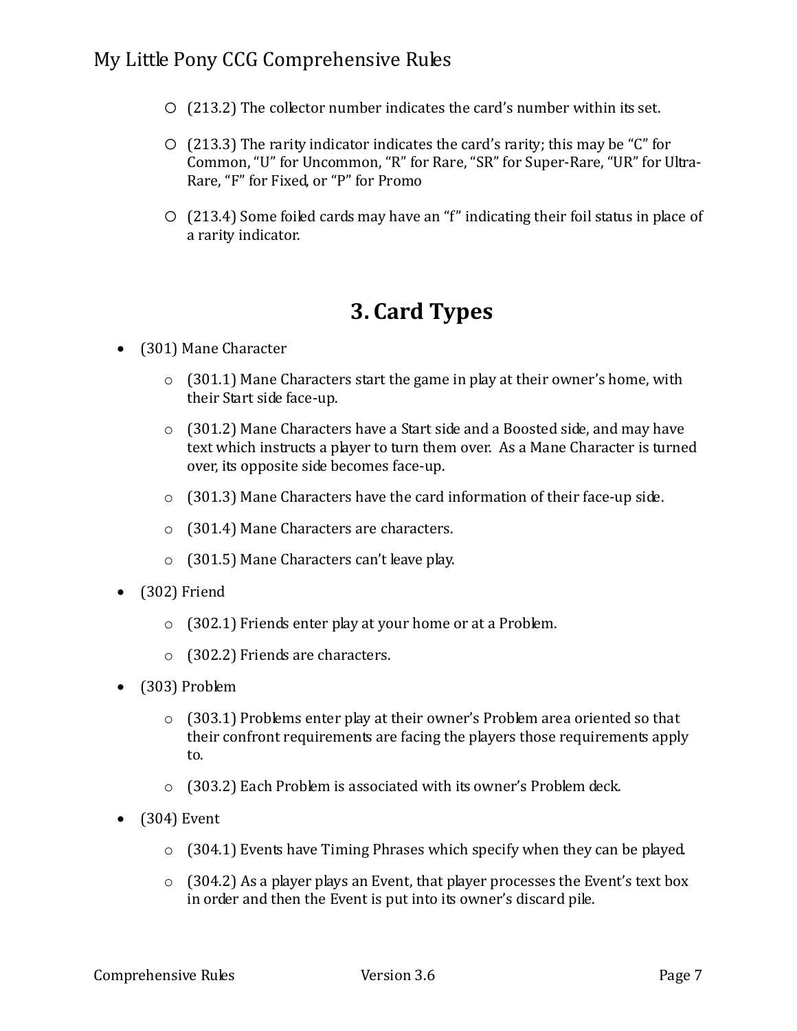- $\circ$  (213.2) The collector number indicates the card's number within its set.
- $\circ$  (213.3) The rarity indicator indicates the card's rarity; this may be "C" for Common, "U" for Uncommon, "R" for Rare, "SR" for Super-Rare, "UR" for Ultra-Rare, "F" for Fixed, or "P" for Promo
- o (213.4) Some foiled cards may have an "f" indicating their foil status in place of a rarity indicator.

## **3. Card Types**

- (301) Mane Character
	- o (301.1) Mane Characters start the game in play at their owner's home, with their Start side face-up.
	- o (301.2) Mane Characters have a Start side and a Boosted side, and may have text which instructs a player to turn them over. As a Mane Character is turned over, its opposite side becomes face-up.
	- o (301.3) Mane Characters have the card information of their face-up side.
	- o (301.4) Mane Characters are characters.
	- o (301.5) Mane Characters can't leave play.
- (302) Friend
	- o (302.1) Friends enter play at your home or at a Problem.
	- o (302.2) Friends are characters.
- (303) Problem
	- $\circ$  (303.1) Problems enter play at their owner's Problem area oriented so that their confront requirements are facing the players those requirements apply to.
	- o (303.2) Each Problem is associated with its owner's Problem deck.
- $\bullet$  (304) Event
	- o (304.1) Events have Timing Phrases which specify when they can be played.
	- o (304.2) As a player plays an Event, that player processes the Event's text box in order and then the Event is put into its owner's discard pile.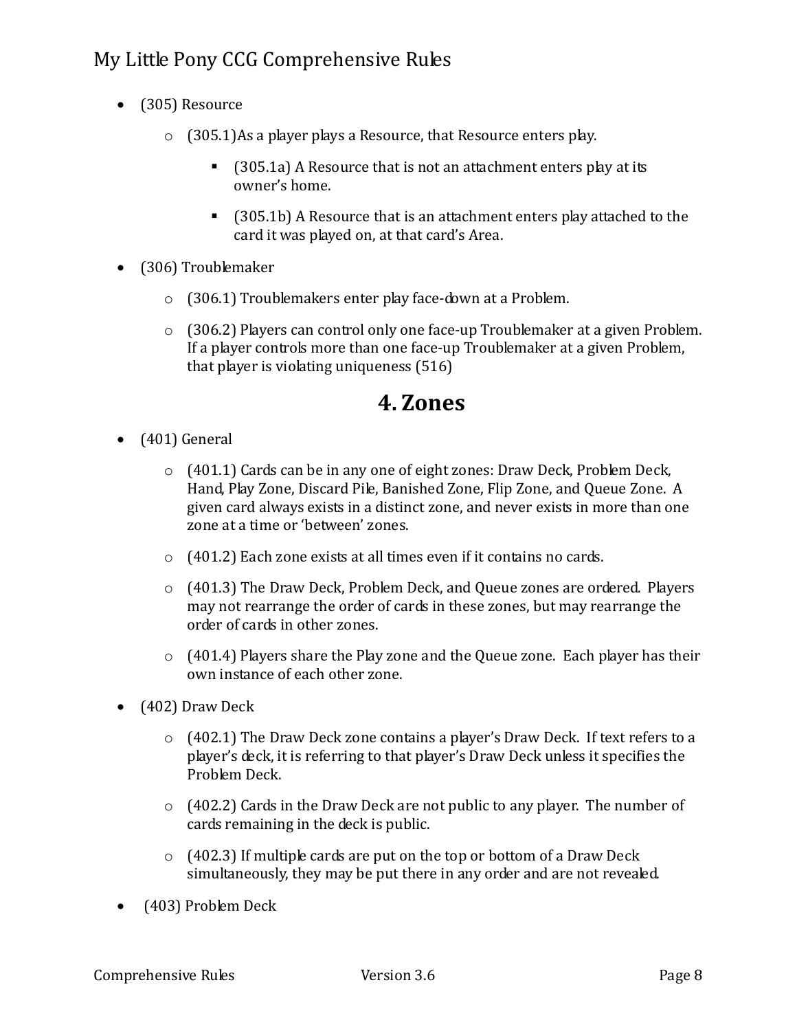- (305) Resource
	- o (305.1)As a player plays a Resource, that Resource enters play.
		- (305.1a) A Resource that is not an attachment enters play at its owner's home.
		- (305.1b) A Resource that is an attachment enters play attached to the card it was played on, at that card's Area.
- (306) Troublemaker
	- o (306.1) Troublemakers enter play face-down at a Problem.
	- $\circ$  (306.2) Players can control only one face-up Troublemaker at a given Problem. If a player controls more than one face-up Troublemaker at a given Problem, that player is violating uniqueness (516)

### **4. Zones**

- (401) General
	- o (401.1) Cards can be in any one of eight zones: Draw Deck, Problem Deck, Hand, Play Zone, Discard Pile, Banished Zone, Flip Zone, and Queue Zone. A given card always exists in a distinct zone, and never exists in more than one zone at a time or 'between' zones.
	- o (401.2) Each zone exists at all times even if it contains no cards.
	- o (401.3) The Draw Deck, Problem Deck, and Queue zones are ordered. Players may not rearrange the order of cards in these zones, but may rearrange the order of cards in other zones.
	- $\circ$  (401.4) Players share the Play zone and the Queue zone. Each player has their own instance of each other zone.
- (402) Draw Deck
	- o (402.1) The Draw Deck zone contains a player's Draw Deck. If text refers to a player's deck, it is referring to that player's Draw Deck unless it specifies the Problem Deck.
	- o (402.2) Cards in the Draw Deck are not public to any player. The number of cards remaining in the deck is public.
	- $\circ$  (402.3) If multiple cards are put on the top or bottom of a Draw Deck simultaneously, they may be put there in any order and are not revealed.
- (403) Problem Deck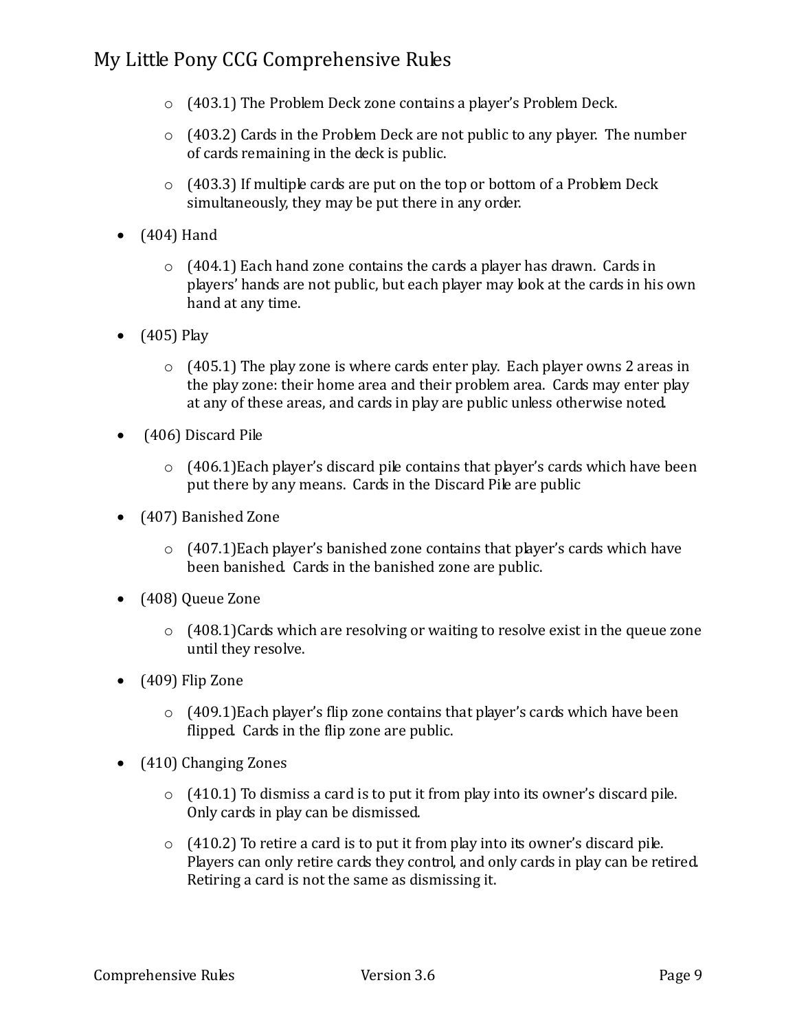- o (403.1) The Problem Deck zone contains a player's Problem Deck.
- $\circ$  (403.2) Cards in the Problem Deck are not public to any player. The number of cards remaining in the deck is public.
- $\circ$  (403.3) If multiple cards are put on the top or bottom of a Problem Deck simultaneously, they may be put there in any order.
- (404) Hand
	- $\circ$  (404.1) Each hand zone contains the cards a player has drawn. Cards in players' hands are not public, but each player may look at the cards in his own hand at any time.
- $(405)$  Play
	- $\circ$  (405.1) The play zone is where cards enter play. Each player owns 2 areas in the play zone: their home area and their problem area. Cards may enter play at any of these areas, and cards in play are public unless otherwise noted.
- (406) Discard Pile
	- $\circ$  (406.1) Each player's discard pile contains that player's cards which have been put there by any means. Cards in the Discard Pile are public
- (407) Banished Zone
	- $\circ$  (407.1)Each player's banished zone contains that player's cards which have been banished. Cards in the banished zone are public.
- (408) Queue Zone
	- o (408.1)Cards which are resolving or waiting to resolve exist in the queue zone until they resolve.
- (409) Flip Zone
	- $\circ$  (409.1) Each player's flip zone contains that player's cards which have been flipped. Cards in the flip zone are public.
- (410) Changing Zones
	- $\circ$  (410.1) To dismiss a card is to put it from play into its owner's discard pile. Only cards in play can be dismissed.
	- $\circ$  (410.2) To retire a card is to put it from play into its owner's discard pile. Players can only retire cards they control, and only cards in play can be retired. Retiring a card is not the same as dismissing it.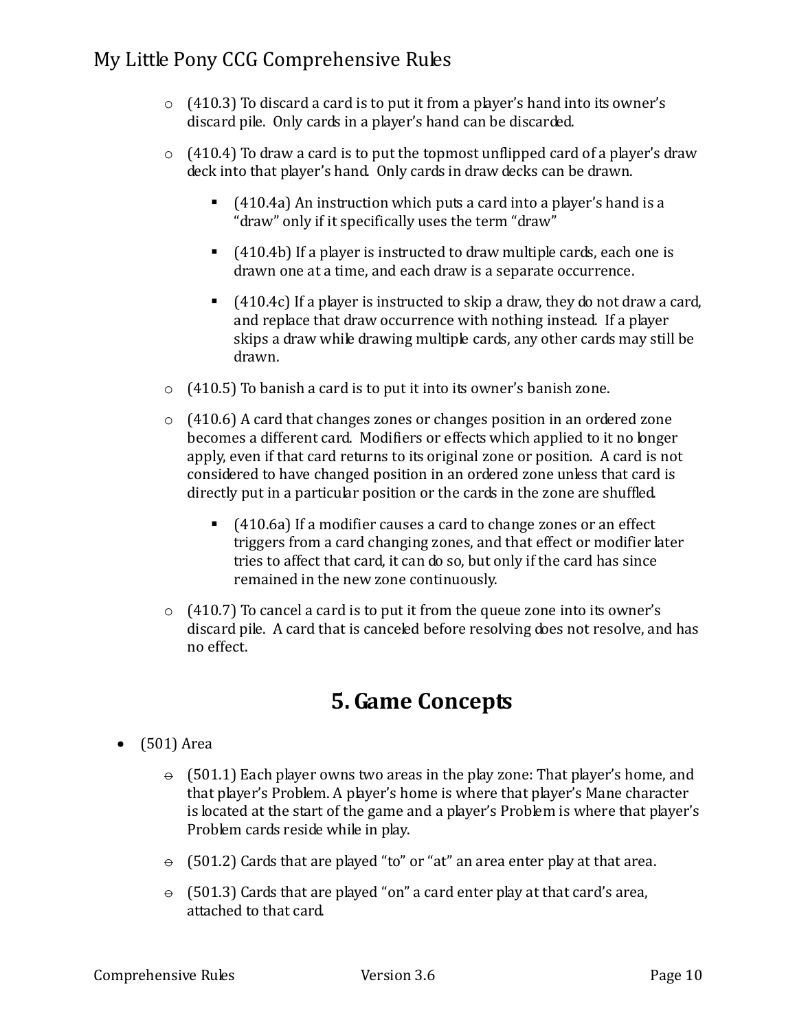- $\circ$  (410.3) To discard a card is to put it from a player's hand into its owner's discard pile. Only cards in a player's hand can be discarded.
- $\circ$  (410.4) To draw a card is to put the topmost unflipped card of a player's draw deck into that player's hand. Only cards in draw decks can be drawn.
	- $(410.4a)$  An instruction which puts a card into a player's hand is a "draw" only if it specifically uses the term "draw"
	- (410.4b) If a player is instructed to draw multiple cards, each one is drawn one at a time, and each draw is a separate occurrence.
	- (410.4c) If a player is instructed to skip a draw, they do not draw a card, and replace that draw occurrence with nothing instead. If a player skips a draw while drawing multiple cards, any other cards may still be drawn.
- $\circ$  (410.5) To banish a card is to put it into its owner's banish zone.
- $\circ$  (410.6) A card that changes zones or changes position in an ordered zone becomes a different card. Modifiers or effects which applied to it no longer apply, even if that card returns to its original zone or position. A card is not considered to have changed position in an ordered zone unless that card is directly put in a particular position or the cards in the zone are shuffled.
	- (410.6a) If a modifier causes a card to change zones or an effect triggers from a card changing zones, and that effect or modifier later tries to affect that card, it can do so, but only if the card has since remained in the new zone continuously.
- $\circ$  (410.7) To cancel a card is to put it from the queue zone into its owner's discard pile. A card that is canceled before resolving does not resolve, and has no effect.

## **5. Game Concepts**

- (501) Area
	- $\div$  (501.1) Each player owns two areas in the play zone: That player's home, and that player's Problem. A player's home is where that player's Mane character is located at the start of the game and a player's Problem is where that player's Problem cards reside while in play.
	- $\div$  (501.2) Cards that are played "to" or "at" an area enter play at that area.
	- $\div$  (501.3) Cards that are played "on" a card enter play at that card's area, attached to that card.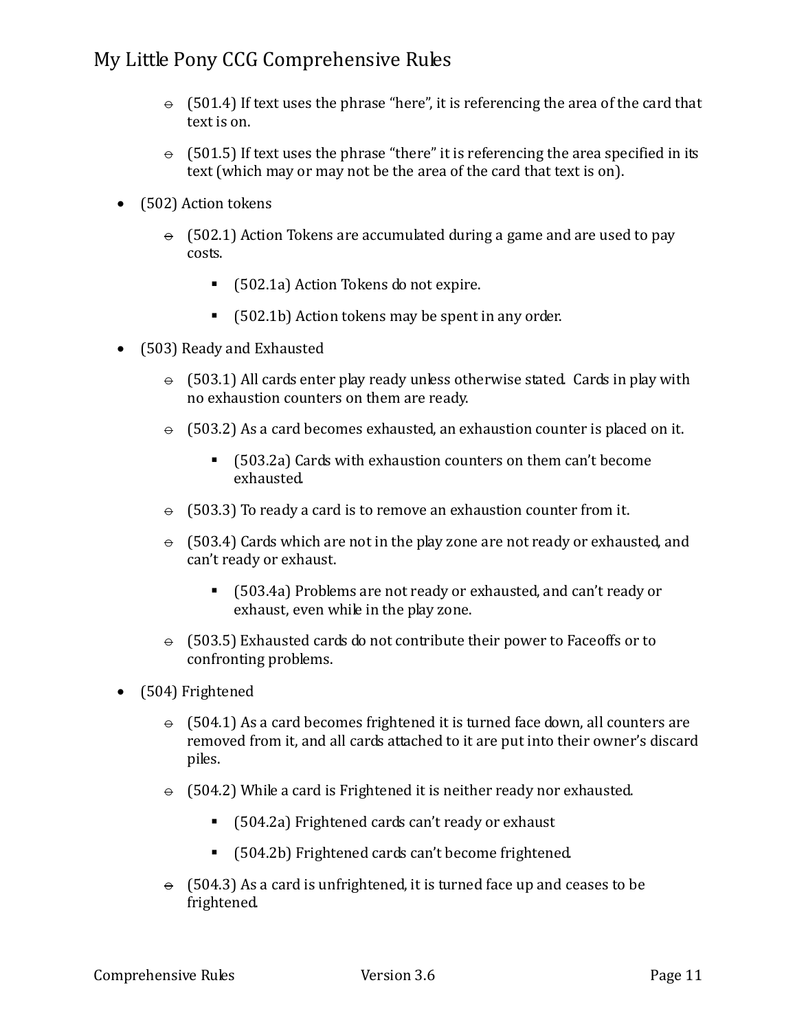- $\div$  (501.4) If text uses the phrase "here", it is referencing the area of the card that text is on.
- $\div$  (501.5) If text uses the phrase "there" it is referencing the area specified in its text (which may or may not be the area of the card that text is on).
- (502) Action tokens
	- $\theta$  (502.1) Action Tokens are accumulated during a game and are used to pay costs.
		- (502.1a) Action Tokens do not expire.
		- (502.1b) Action tokens may be spent in any order.
- (503) Ready and Exhausted
	- $\div$  (503.1) All cards enter play ready unless otherwise stated. Cards in play with no exhaustion counters on them are ready.
	- $\theta$  (503.2) As a card becomes exhausted, an exhaustion counter is placed on it.
		- (503.2a) Cards with exhaustion counters on them can't become exhausted.
	- $\div$  (503.3) To ready a card is to remove an exhaustion counter from it.
	- $\div$  (503.4) Cards which are not in the play zone are not ready or exhausted, and can't ready or exhaust.
		- (503.4a) Problems are not ready or exhausted, and can't ready or exhaust, even while in the play zone.
	- $\div$  (503.5) Exhausted cards do not contribute their power to Faceoffs or to confronting problems.
- (504) Frightened
	- $\theta$  (504.1) As a card becomes frightened it is turned face down, all counters are removed from it, and all cards attached to it are put into their owner's discard piles.
	- $\div$  (504.2) While a card is Frightened it is neither ready nor exhausted.
		- (504.2a) Frightened cards can't ready or exhaust
		- (504.2b) Frightened cards can't become frightened.
	- $\theta$  (504.3) As a card is unfrightened, it is turned face up and ceases to be frightened.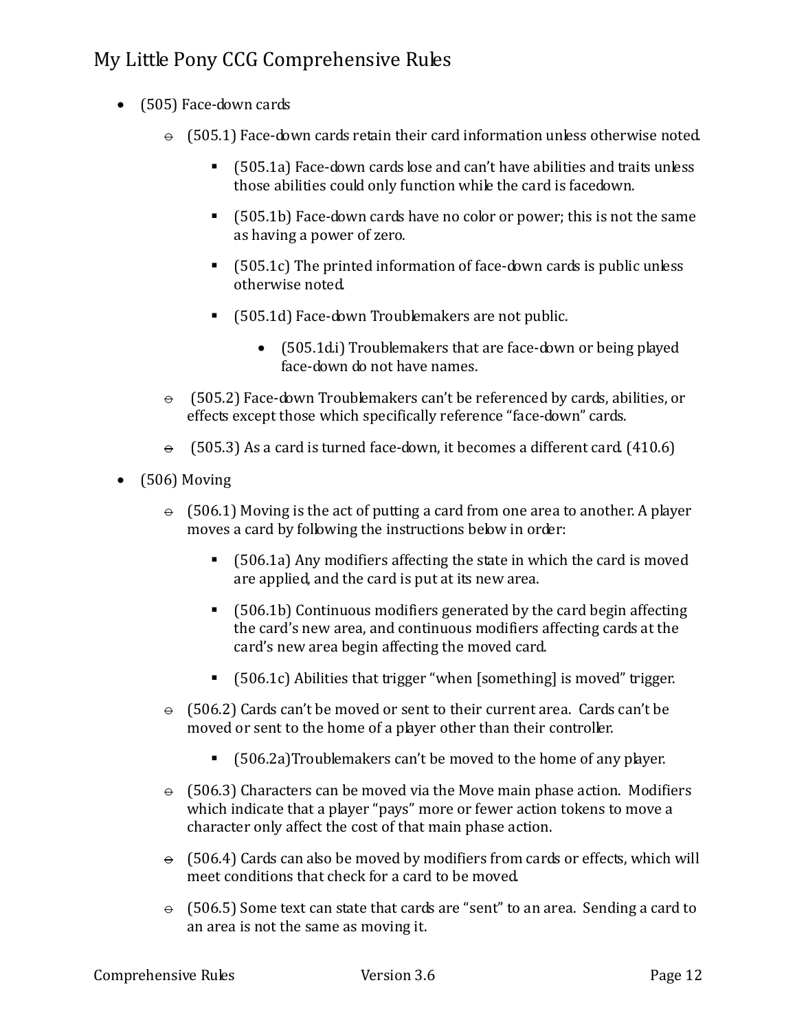- (505) Face-down cards
	- $\div$  (505.1) Face-down cards retain their card information unless otherwise noted.
		- (505.1a) Face-down cards lose and can't have abilities and traits unless those abilities could only function while the card is facedown.
		- (505.1b) Face-down cards have no color or power; this is not the same as having a power of zero.
		- $\blacksquare$  (505.1c) The printed information of face-down cards is public unless otherwise noted.
		- (505.1d) Face-down Troublemakers are not public.
			- (505.1di) Troublemakers that are face-down or being played face-down do not have names.
	- $\Theta$  (505.2) Face-down Troublemakers can't be referenced by cards, abilities, or effects except those which specifically reference "face-down" cards.
	- $\theta$  (505.3) As a card is turned face-down, it becomes a different card. (410.6)
- (506) Moving
	- $\Theta$  (506.1) Moving is the act of putting a card from one area to another. A player moves a card by following the instructions below in order:
		- (506.1a) Any modifiers affecting the state in which the card is moved are applied, and the card is put at its new area.
		- (506.1b) Continuous modifiers generated by the card begin affecting the card's new area, and continuous modifiers affecting cards at the card's new area begin affecting the moved card.
		- (506.1c) Abilities that trigger "when [something] is moved" trigger.
	- $\theta$  (506.2) Cards can't be moved or sent to their current area. Cards can't be moved or sent to the home of a player other than their controller.
		- (506.2a)Troublemakers can't be moved to the home of any player.
	- $\div$  (506.3) Characters can be moved via the Move main phase action. Modifiers which indicate that a player "pays" more or fewer action tokens to move a character only affect the cost of that main phase action.
	- $\div$  (506.4) Cards can also be moved by modifiers from cards or effects, which will meet conditions that check for a card to be moved.
	- $\div$  (506.5) Some text can state that cards are "sent" to an area. Sending a card to an area is not the same as moving it.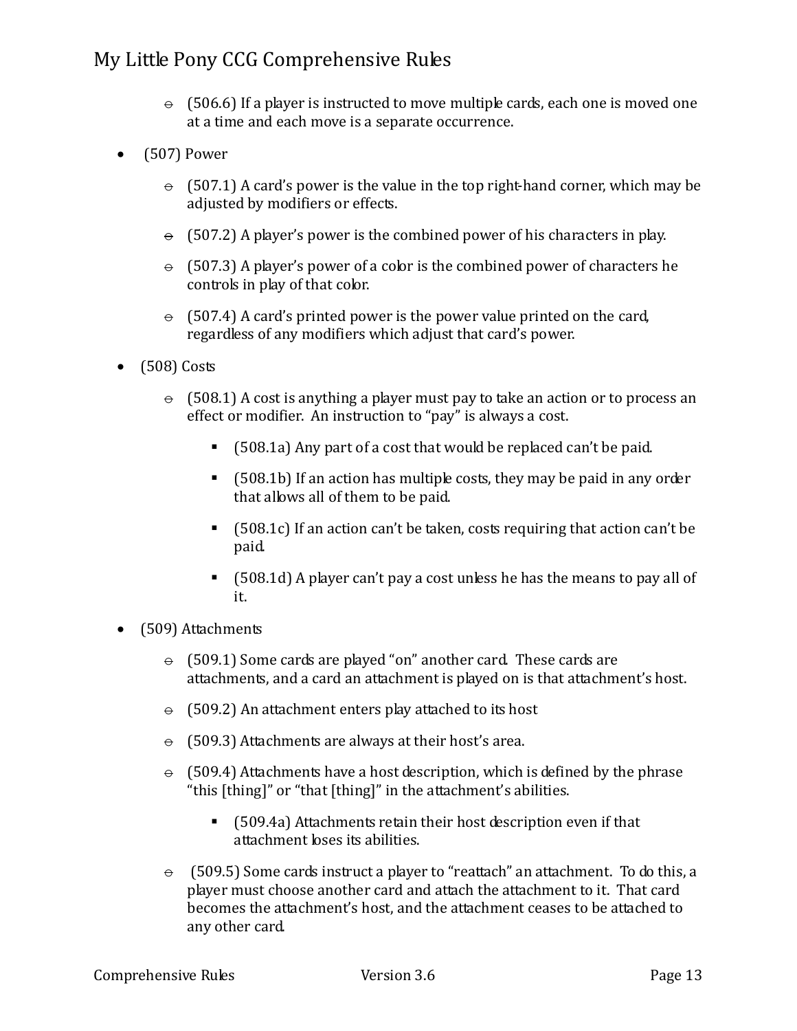- $\div$  (506.6) If a player is instructed to move multiple cards, each one is moved one at a time and each move is a separate occurrence.
- $\bullet$  (507) Power
	- $\theta$  (507.1) A card's power is the value in the top right-hand corner, which may be adjusted by modifiers or effects.
	- $\theta$  (507.2) A player's power is the combined power of his characters in play.
	- $\theta$  (507.3) A player's power of a color is the combined power of characters he controls in play of that color.
	- $\div$  (507.4) A card's printed power is the power value printed on the card, regardless of any modifiers which adjust that card's power.
- (508) Costs
	- $\Theta$  (508.1) A cost is anything a player must pay to take an action or to process an effect or modifier. An instruction to "pay" is always a cost.
		- (508.1a) Any part of a cost that would be replaced can't be paid.
		- (508.1b) If an action has multiple costs, they may be paid in any order that allows all of them to be paid.
		- (508.1c) If an action can't be taken, costs requiring that action can't be paid.
		- (508.1d) A player can't pay a cost unless he has the means to pay all of it.
- (509) Attachments
	- $\div$  (509.1) Some cards are played "on" another card. These cards are attachments, and a card an attachment is played on is that attachment's host.
	- $\div$  (509.2) An attachment enters play attached to its host
	- $\div$  (509.3) Attachments are always at their host's area.
	- $\theta$  (509.4) Attachments have a host description, which is defined by the phrase "this [thing]" or "that [thing]" in the attachment's abilities.
		- (509.4a) Attachments retain their host description even if that attachment loses its abilities.
	- $\theta$  (509.5) Some cards instruct a player to "reattach" an attachment. To do this, a player must choose another card and attach the attachment to it. That card becomes the attachment's host, and the attachment ceases to be attached to any other card.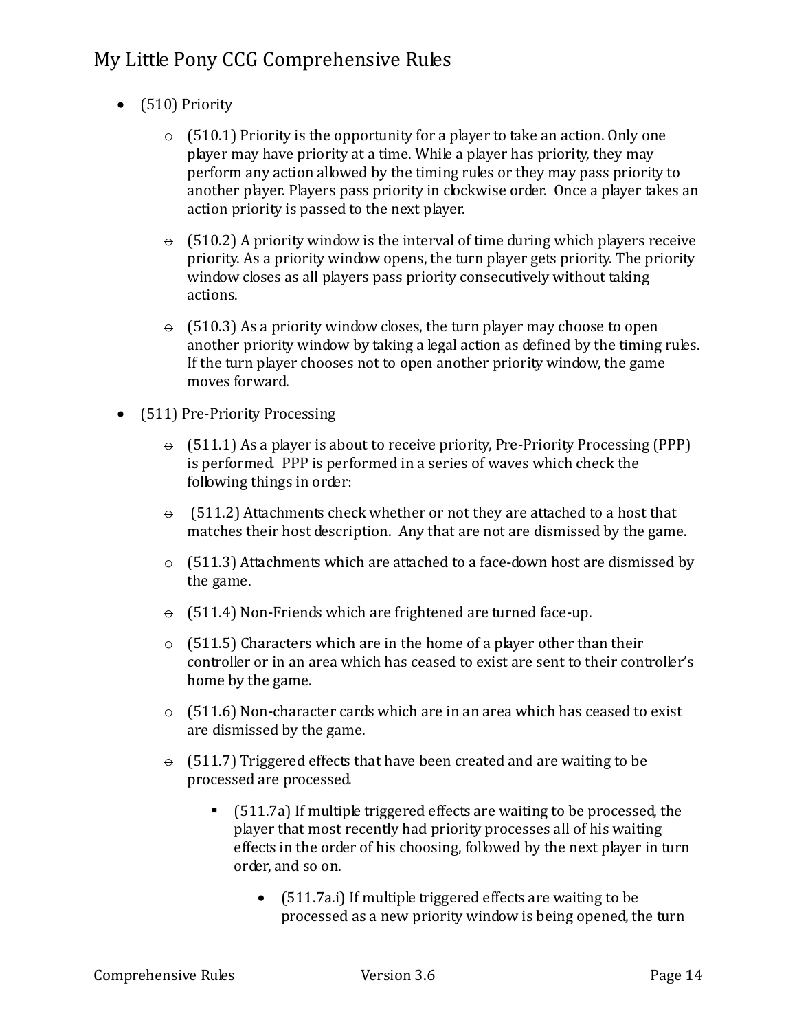- (510) Priority
	- $\theta$  (510.1) Priority is the opportunity for a player to take an action. Only one player may have priority at a time. While a player has priority, they may perform any action allowed by the timing rules or they may pass priority to another player. Players pass priority in clockwise order. Once a player takes an action priority is passed to the next player.
	- $\theta$  (510.2) A priority window is the interval of time during which players receive priority. As a priority window opens, the turn player gets priority. The priority window closes as all players pass priority consecutively without taking actions.
	- $\div$  (510.3) As a priority window closes, the turn player may choose to open another priority window by taking a legal action as defined by the timing rules. If the turn player chooses not to open another priority window, the game moves forward.
- (511) Pre-Priority Processing
	- $\theta$  (511.1) As a player is about to receive priority, Pre-Priority Processing (PPP) is performed. PPP is performed in a series of waves which check the following things in order:
	- $\Theta$  (511.2) Attachments check whether or not they are attached to a host that matches their host description. Any that are not are dismissed by the game.
	- $\div$  (511.3) Attachments which are attached to a face-down host are dismissed by the game.
	- $\div$  (511.4) Non-Friends which are frightened are turned face-up.
	- $\div$  (511.5) Characters which are in the home of a player other than their controller or in an area which has ceased to exist are sent to their controller's home by the game.
	- $\div$  (511.6) Non-character cards which are in an area which has ceased to exist are dismissed by the game.
	- $\theta$  (511.7) Triggered effects that have been created and are waiting to be processed are processed.
		- (511.7a) If multiple triggered effects are waiting to be processed, the player that most recently had priority processes all of his waiting effects in the order of his choosing, followed by the next player in turn order, and so on.
			- (511.7a.i) If multiple triggered effects are waiting to be processed as a new priority window is being opened, the turn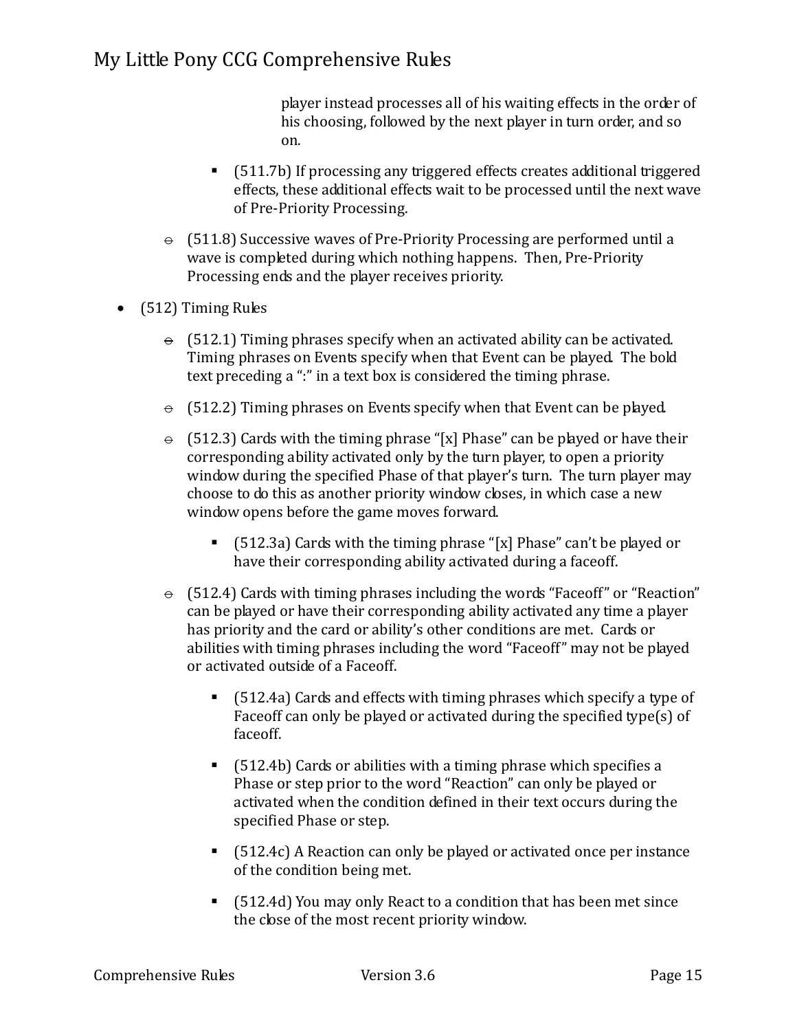player instead processes all of his waiting effects in the order of his choosing, followed by the next player in turn order, and so on.

- (511.7b) If processing any triggered effects creates additional triggered effects, these additional effects wait to be processed until the next wave of Pre-Priority Processing.
- $\div$  (511.8) Successive waves of Pre-Priority Processing are performed until a wave is completed during which nothing happens. Then, Pre-Priority Processing ends and the player receives priority.
- (512) Timing Rules
	- $\div$  (512.1) Timing phrases specify when an activated ability can be activated. Timing phrases on Events specify when that Event can be played. The bold text preceding a ":" in a text box is considered the timing phrase.
	- $\div$  (512.2) Timing phrases on Events specify when that Event can be played.
	- $\theta$  (512.3) Cards with the timing phrase "[x] Phase" can be played or have their corresponding ability activated only by the turn player, to open a priority window during the specified Phase of that player's turn. The turn player may choose to do this as another priority window closes, in which case a new window opens before the game moves forward.
		- (512.3a) Cards with the timing phrase "[x] Phase" can't be played or have their corresponding ability activated during a faceoff.
	- $\Theta$  (512.4) Cards with timing phrases including the words "Faceoff" or "Reaction" can be played or have their corresponding ability activated any time a player has priority and the card or ability's other conditions are met. Cards or abilities with timing phrases including the word "Faceoff" may not be played or activated outside of a Faceoff.
		- (512.4a) Cards and effects with timing phrases which specify a type of Faceoff can only be played or activated during the specified type(s) of faceoff.
		- (512.4b) Cards or abilities with a timing phrase which specifies a Phase or step prior to the word "Reaction" can only be played or activated when the condition defined in their text occurs during the specified Phase or step.
		- (512.4c) A Reaction can only be played or activated once per instance of the condition being met.
		- (512.4d) You may only React to a condition that has been met since the close of the most recent priority window.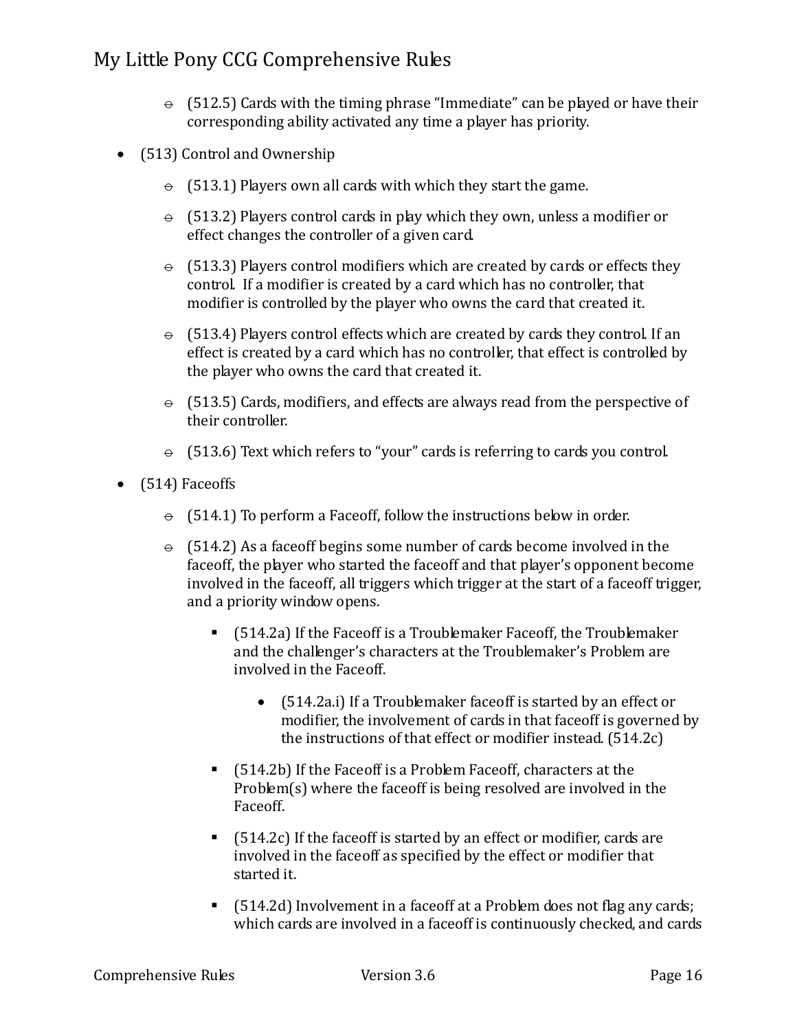- $\div$  (512.5) Cards with the timing phrase "Immediate" can be played or have their corresponding ability activated any time a player has priority.
- (513) Control and Ownership
	- $\div$  (513.1) Players own all cards with which they start the game.
	- $\div$  (513.2) Players control cards in play which they own, unless a modifier or effect changes the controller of a given card.
	- $\div$  (513.3) Players control modifiers which are created by cards or effects they control. If a modifier is created by a card which has no controller, that modifier is controlled by the player who owns the card that created it.
	- $\div$  (513.4) Players control effects which are created by cards they control. If an effect is created by a card which has no controller, that effect is controlled by the player who owns the card that created it.
	- $\div$  (513.5) Cards, modifiers, and effects are always read from the perspective of their controller.
	- $\theta$  (513.6) Text which refers to "your" cards is referring to cards you control.
- (514) Faceoffs
	- $\div$  (514.1) To perform a Faceoff, follow the instructions below in order.
	- $\div$  (514.2) As a faceoff begins some number of cards become involved in the faceoff, the player who started the faceoff and that player's opponent become involved in the faceoff, all triggers which trigger at the start of a faceoff trigger, and a priority window opens.
		- (514.2a) If the Faceoff is a Troublemaker Faceoff, the Troublemaker and the challenger's characters at the Troublemaker's Problem are involved in the Faceoff.
			- (514.2a.i) If a Troublemaker faceoff is started by an effect or modifier, the involvement of cards in that faceoff is governed by the instructions of that effect or modifier instead. (514.2c)
		- (514.2b) If the Faceoff is a Problem Faceoff, characters at the Problem(s) where the faceoff is being resolved are involved in the Faceoff.
		- (514.2c) If the faceoff is started by an effect or modifier, cards are involved in the faceoff as specified by the effect or modifier that started it.
		- (514.2d) Involvement in a faceoff at a Problem does not flag any cards; which cards are involved in a faceoff is continuously checked, and cards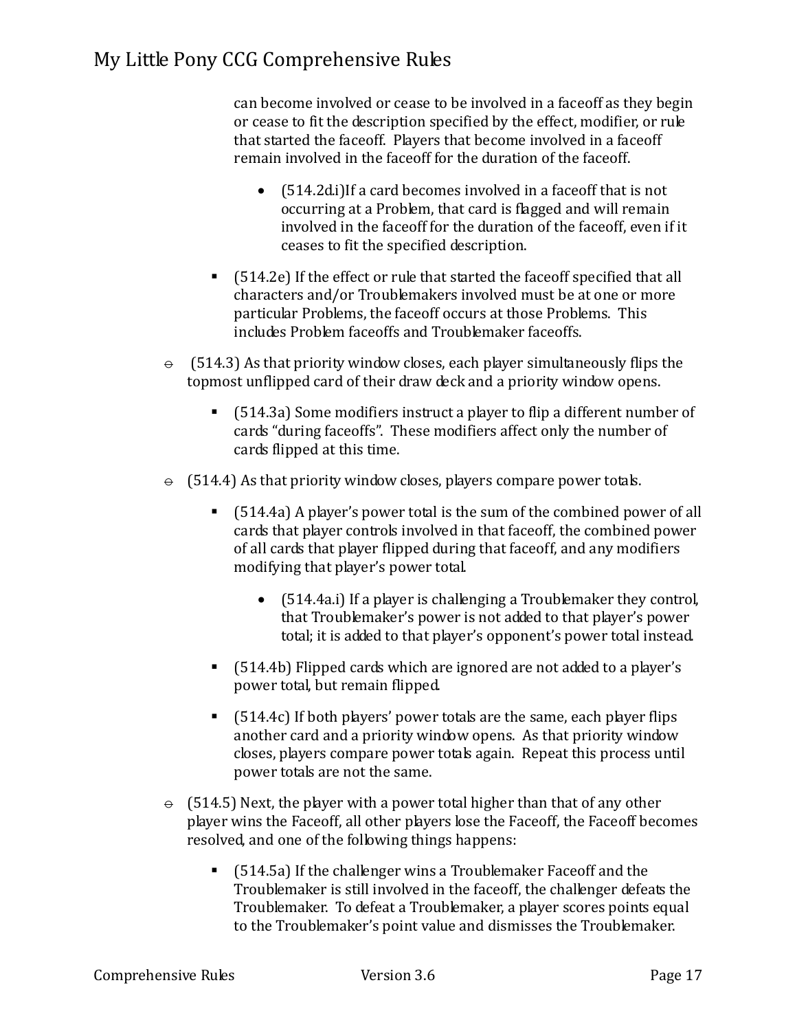can become involved or cease to be involved in a faceoff as they begin or cease to fit the description specified by the effect, modifier, or rule that started the faceoff. Players that become involved in a faceoff remain involved in the faceoff for the duration of the faceoff.

- (514.2d.i)If a card becomes involved in a faceoff that is not occurring at a Problem, that card is flagged and will remain involved in the faceoff for the duration of the faceoff, even if it ceases to fit the specified description.
- (514.2e) If the effect or rule that started the faceoff specified that all characters and/or Troublemakers involved must be at one or more particular Problems, the faceoff occurs at those Problems. This includes Problem faceoffs and Troublemaker faceoffs.
- $\Theta$  (514.3) As that priority window closes, each player simultaneously flips the topmost unflipped card of their draw deck and a priority window opens.
	- (514.3a) Some modifiers instruct a player to flip a different number of cards "during faceoffs". These modifiers affect only the number of cards flipped at this time.
- $\theta$  (514.4) As that priority window closes, players compare power totals.
	- (514.4a) A player's power total is the sum of the combined power of all cards that player controls involved in that faceoff, the combined power of all cards that player flipped during that faceoff, and any modifiers modifying that player's power total.
		- (514.4a.i) If a player is challenging a Troublemaker they control, that Troublemaker's power is not added to that player's power total; it is added to that player's opponent's power total instead.
	- (514.4b) Flipped cards which are ignored are not added to a player's power total, but remain flipped.
	- (514.4c) If both players' power totals are the same, each player flips another card and a priority window opens. As that priority window closes, players compare power totals again. Repeat this process until power totals are not the same.
- $\div$  (514.5) Next, the player with a power total higher than that of any other player wins the Faceoff, all other players lose the Faceoff, the Faceoff becomes resolved, and one of the following things happens:
	- (514.5a) If the challenger wins a Troublemaker Faceoff and the Troublemaker is still involved in the faceoff, the challenger defeats the Troublemaker. To defeat a Troublemaker, a player scores points equal to the Troublemaker's point value and dismisses the Troublemaker.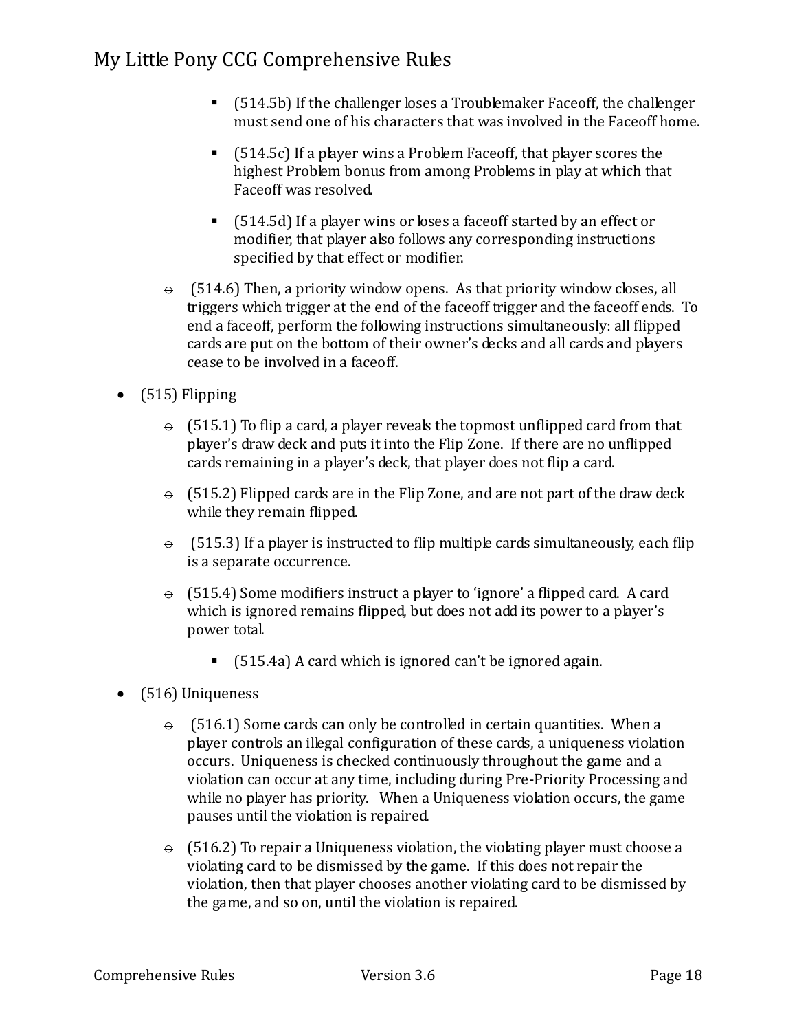- (514.5b) If the challenger loses a Troublemaker Faceoff, the challenger must send one of his characters that was involved in the Faceoff home.
- $\blacksquare$  (514.5c) If a player wins a Problem Faceoff, that player scores the highest Problem bonus from among Problems in play at which that Faceoff was resolved.
- (514.5d) If a player wins or loses a faceoff started by an effect or modifier, that player also follows any corresponding instructions specified by that effect or modifier.
- $\Theta$  (514.6) Then, a priority window opens. As that priority window closes, all triggers which trigger at the end of the faceoff trigger and the faceoff ends. To end a faceoff, perform the following instructions simultaneously: all flipped cards are put on the bottom of their owner's decks and all cards and players cease to be involved in a faceoff.
- (515) Flipping
	- $\div$  (515.1) To flip a card, a player reveals the topmost unflipped card from that player's draw deck and puts it into the Flip Zone. If there are no unflipped cards remaining in a player's deck, that player does not flip a card.
	- $\theta$  (515.2) Flipped cards are in the Flip Zone, and are not part of the draw deck while they remain flipped.
	- $\theta$  (515.3) If a player is instructed to flip multiple cards simultaneously, each flip is a separate occurrence.
	- $\div$  (515.4) Some modifiers instruct a player to 'ignore' a flipped card. A card which is ignored remains flipped, but does not add its power to a player's power total.
		- (515.4a) A card which is ignored can't be ignored again.
- (516) Uniqueness
	- $\theta$  (516.1) Some cards can only be controlled in certain quantities. When a player controls an illegal configuration of these cards, a uniqueness violation occurs. Uniqueness is checked continuously throughout the game and a violation can occur at any time, including during Pre-Priority Processing and while no player has priority. When a Uniqueness violation occurs, the game pauses until the violation is repaired.
	- $\div$  (516.2) To repair a Uniqueness violation, the violating player must choose a violating card to be dismissed by the game. If this does not repair the violation, then that player chooses another violating card to be dismissed by the game, and so on, until the violation is repaired.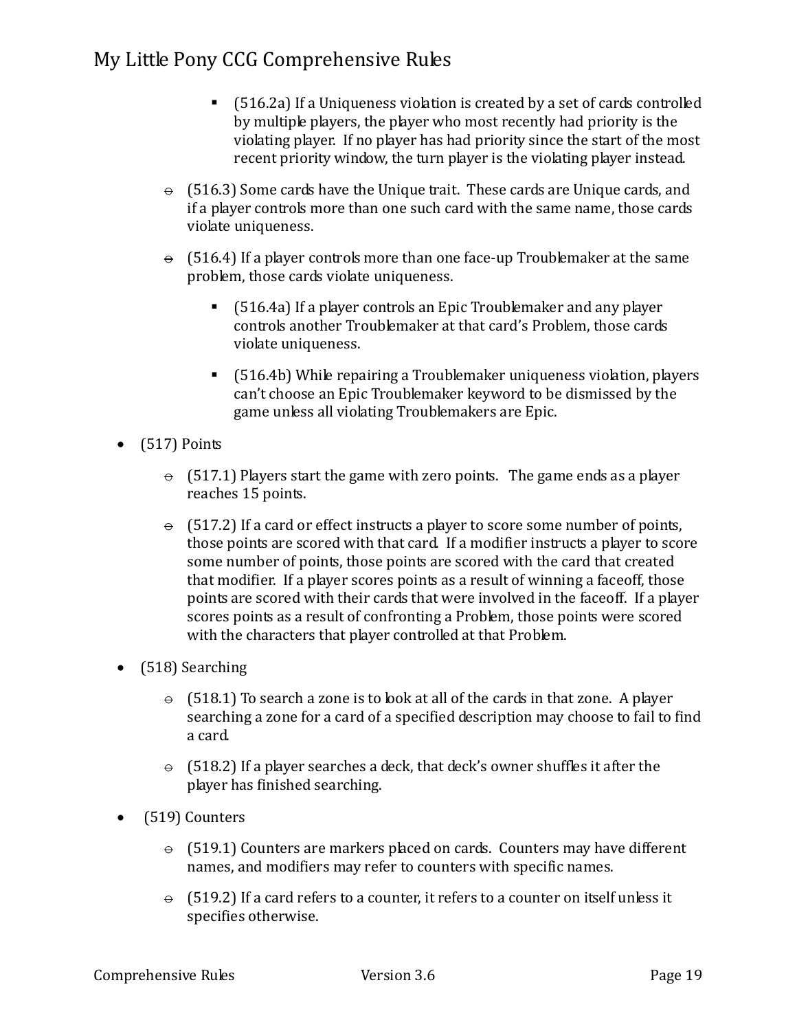- (516.2a) If a Uniqueness violation is created by a set of cards controlled by multiple players, the player who most recently had priority is the violating player. If no player has had priority since the start of the most recent priority window, the turn player is the violating player instead.
- $\div$  (516.3) Some cards have the Unique trait. These cards are Unique cards, and if a player controls more than one such card with the same name, those cards violate uniqueness.
- $\div$  (516.4) If a player controls more than one face-up Troublemaker at the same problem, those cards violate uniqueness.
	- (516.4a) If a player controls an Epic Troublemaker and any player controls another Troublemaker at that card's Problem, those cards violate uniqueness.
	- (516.4b) While repairing a Troublemaker uniqueness violation, players can't choose an Epic Troublemaker keyword to be dismissed by the game unless all violating Troublemakers are Epic.
- $\bullet$  (517) Points
	- $\div$  (517.1) Players start the game with zero points. The game ends as a player reaches 15 points.
	- $\div$  (517.2) If a card or effect instructs a player to score some number of points, those points are scored with that card. If a modifier instructs a player to score some number of points, those points are scored with the card that created that modifier. If a player scores points as a result of winning a faceoff, those points are scored with their cards that were involved in the faceoff. If a player scores points as a result of confronting a Problem, those points were scored with the characters that player controlled at that Problem.
- (518) Searching
	- $\div$  (518.1) To search a zone is to look at all of the cards in that zone. A player searching a zone for a card of a specified description may choose to fail to find a card.
	- $\div$  (518.2) If a player searches a deck, that deck's owner shuffles it after the player has finished searching.
- (519) Counters
	- $\div$  (519.1) Counters are markers placed on cards. Counters may have different names, and modifiers may refer to counters with specific names.
	- $\theta$  (519.2) If a card refers to a counter, it refers to a counter on itself unless it specifies otherwise.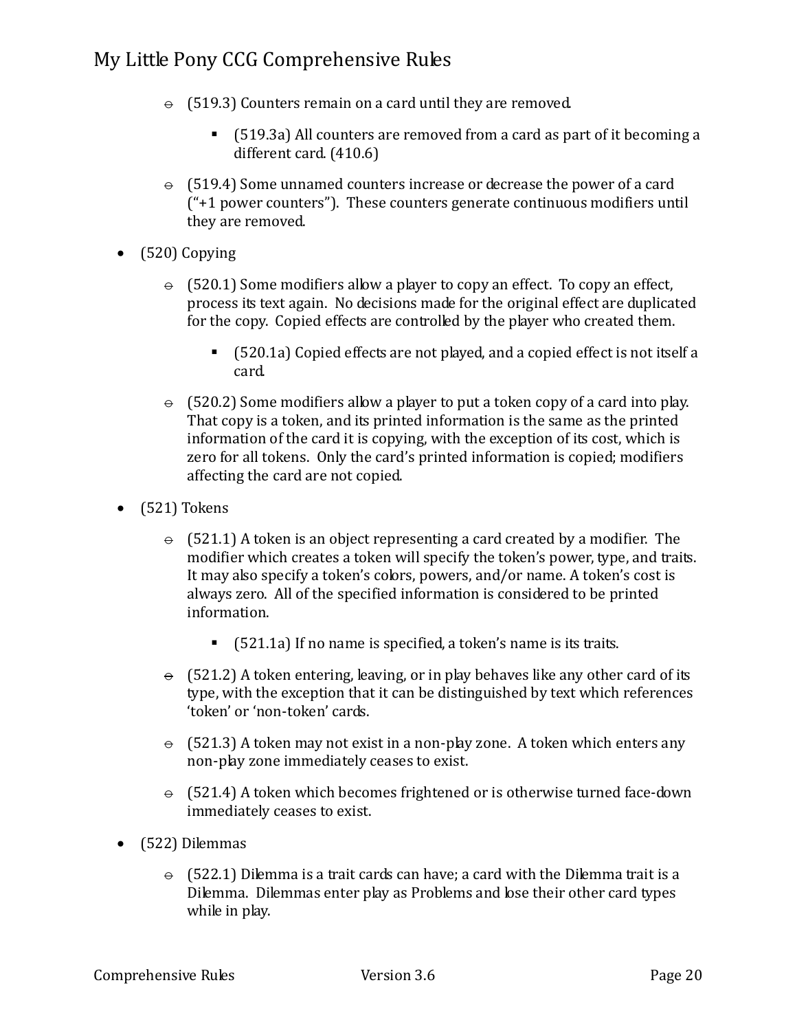- $\div$  (519.3) Counters remain on a card until they are removed.
	- (519.3a) All counters are removed from a card as part of it becoming a different card. (410.6)
- $\div$  (519.4) Some unnamed counters increase or decrease the power of a card ("+1 power counters"). These counters generate continuous modifiers until they are removed.
- (520) Copying
	- $\div$  (520.1) Some modifiers allow a player to copy an effect. To copy an effect, process its text again. No decisions made for the original effect are duplicated for the copy. Copied effects are controlled by the player who created them.
		- (520.1a) Copied effects are not played, and a copied effect is not itself a card.
	- $\div$  (520.2) Some modifiers allow a player to put a token copy of a card into play. That copy is a token, and its printed information is the same as the printed information of the card it is copying, with the exception of its cost, which is zero for all tokens. Only the card's printed information is copied; modifiers affecting the card are not copied.
- (521) Tokens
	- $\div$  (521.1) A token is an object representing a card created by a modifier. The modifier which creates a token will specify the token's power, type, and traits. It may also specify a token's colors, powers, and/or name. A token's cost is always zero. All of the specified information is considered to be printed information.
		- $\blacksquare$  (521.1a) If no name is specified, a token's name is its traits.
	- $\Theta$  (521.2) A token entering, leaving, or in play behaves like any other card of its type, with the exception that it can be distinguished by text which references 'token' or 'non-token' cards.
	- $\div$  (521.3) A token may not exist in a non-play zone. A token which enters any non-play zone immediately ceases to exist.
	- $\theta$  (521.4) A token which becomes frightened or is otherwise turned face-down immediately ceases to exist.
- (522) Dilemmas
	- $\div$  (522.1) Dilemma is a trait cards can have; a card with the Dilemma trait is a Dilemma. Dilemmas enter play as Problems and lose their other card types while in play.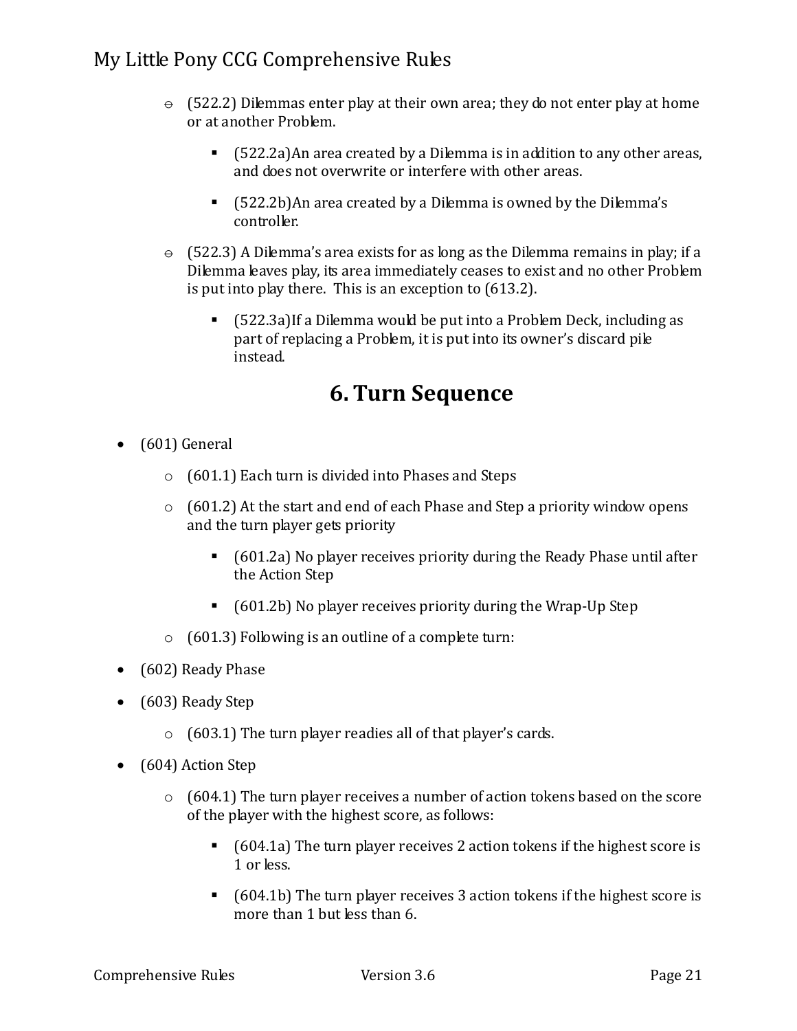- $\div$  (522.2) Dilemmas enter play at their own area; they do not enter play at home or at another Problem.
	- (522.2a)An area created by a Dilemma is in addition to any other areas, and does not overwrite or interfere with other areas.
	- (522.2b)An area created by a Dilemma is owned by the Dilemma's controller.
- $\div$  (522.3) A Dilemma's area exists for as long as the Dilemma remains in play; if a Dilemma leaves play, its area immediately ceases to exist and no other Problem is put into play there. This is an exception to (613.2).
	- (522.3a)If a Dilemma would be put into a Problem Deck, including as part of replacing a Problem, it is put into its owner's discard pile instead.

## **6. Turn Sequence**

- (601) General
	- o (601.1) Each turn is divided into Phases and Steps
	- $\circ$  (601.2) At the start and end of each Phase and Step a priority window opens and the turn player gets priority
		- (601.2a) No player receives priority during the Ready Phase until after the Action Step
		- (601.2b) No player receives priority during the Wrap-Up Step
	- $\circ$  (601.3) Following is an outline of a complete turn:
- (602) Ready Phase
- (603) Ready Step
	- $\circ$  (603.1) The turn player readies all of that player's cards.
- (604) Action Step
	- o (604.1) The turn player receives a number of action tokens based on the score of the player with the highest score, as follows:
		- (604.1a) The turn player receives 2 action tokens if the highest score is 1 or less.
		- (604.1b) The turn player receives 3 action tokens if the highest score is more than 1 but less than 6.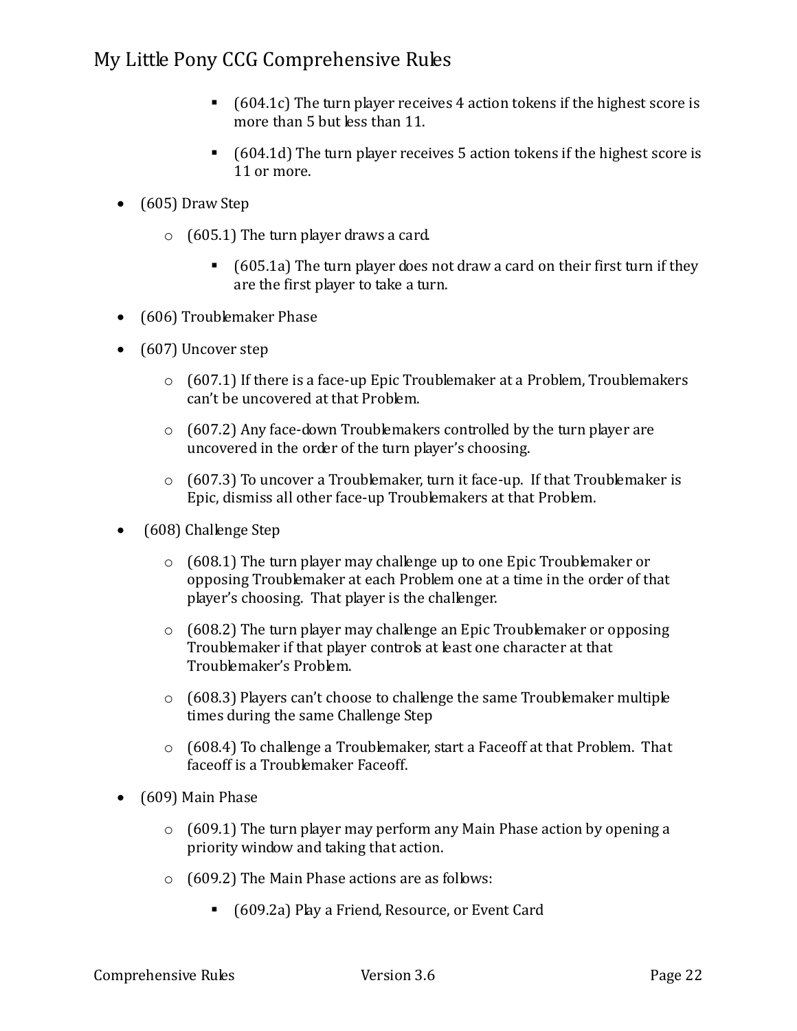- $\blacksquare$  (604.1c) The turn player receives 4 action tokens if the highest score is more than 5 but less than 11.
- (604.1d) The turn player receives 5 action tokens if the highest score is 11 or more.
- (605) Draw Step
	- o (605.1) The turn player draws a card.
		- $\blacksquare$  (605.1a) The turn player does not draw a card on their first turn if they are the first player to take a turn.
- (606) Troublemaker Phase
- (607) Uncover step
	- $\circ$  (607.1) If there is a face-up Epic Troublemaker at a Problem, Troublemakers can't be uncovered at that Problem.
	- $\circ$  (607.2) Any face-down Troublemakers controlled by the turn player are uncovered in the order of the turn player's choosing.
	- $\circ$  (607.3) To uncover a Troublemaker, turn it face-up. If that Troublemaker is Epic, dismiss all other face-up Troublemakers at that Problem.
- (608) Challenge Step
	- $\circ$  (608.1) The turn player may challenge up to one Epic Troublemaker or opposing Troublemaker at each Problem one at a time in the order of that player's choosing. That player is the challenger.
	- o (608.2) The turn player may challenge an Epic Troublemaker or opposing Troublemaker if that player controls at least one character at that Troublemaker's Problem.
	- $\circ$  (608.3) Players can't choose to challenge the same Troublemaker multiple times during the same Challenge Step
	- $\circ$  (608.4) To challenge a Troublemaker, start a Faceoff at that Problem. That faceoff is a Troublemaker Faceoff.
- (609) Main Phase
	- o (609.1) The turn player may perform any Main Phase action by opening a priority window and taking that action.
	- o (609.2) The Main Phase actions are as follows:
		- (609.2a) Play a Friend, Resource, or Event Card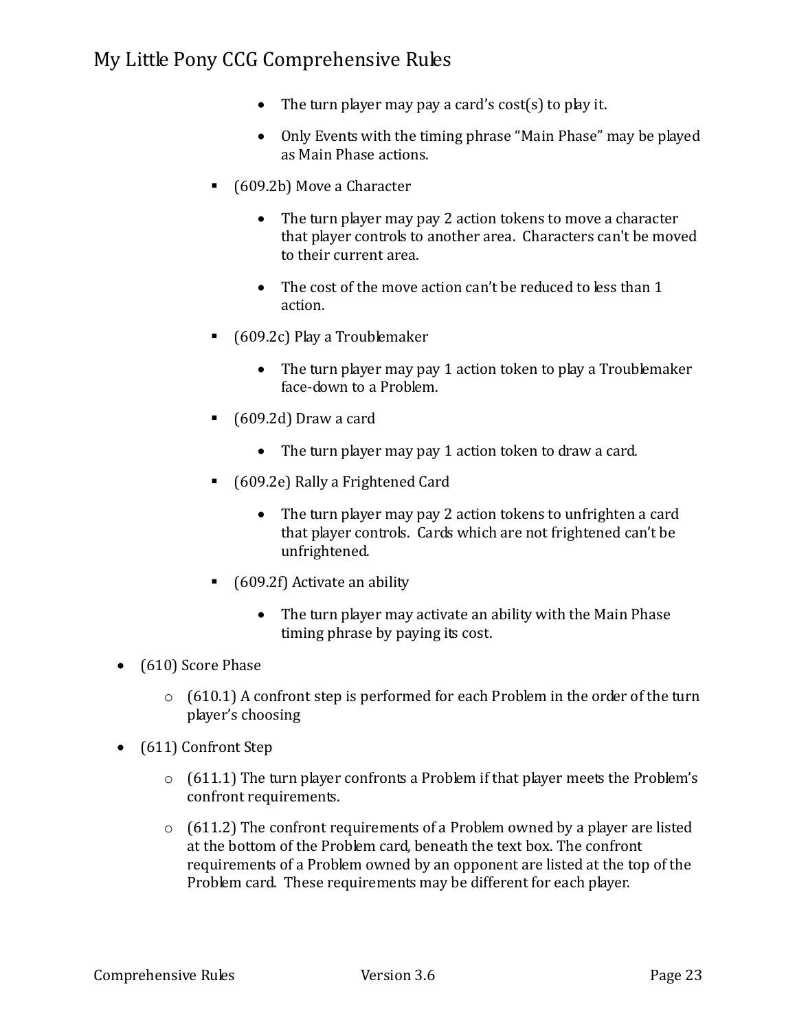- The turn player may pay a card's cost(s) to play it.
- Only Events with the timing phrase "Main Phase" may be played as Main Phase actions.
- (609.2b) Move a Character
	- The turn player may pay 2 action tokens to move a character that player controls to another area. Characters can't be moved to their current area.
	- The cost of the move action can't be reduced to less than 1 action.
- (609.2c) Play a Troublemaker
	- The turn player may pay 1 action token to play a Troublemaker face-down to a Problem.
- (609.2d) Draw a card
	- The turn player may pay 1 action token to draw a card.
- (609.2e) Rally a Frightened Card
	- The turn player may pay 2 action tokens to unfrighten a card that player controls. Cards which are not frightened can't be unfrightened.
- $\blacksquare$  (609.2f) Activate an ability
	- The turn player may activate an ability with the Main Phase timing phrase by paying its cost.
- (610) Score Phase
	- o (610.1) A confront step is performed for each Problem in the order of the turn player's choosing
- (611) Confront Step
	- o (611.1) The turn player confronts a Problem if that player meets the Problem's confront requirements.
	- $\circ$  (611.2) The confront requirements of a Problem owned by a player are listed at the bottom of the Problem card, beneath the text box. The confront requirements of a Problem owned by an opponent are listed at the top of the Problem card. These requirements may be different for each player.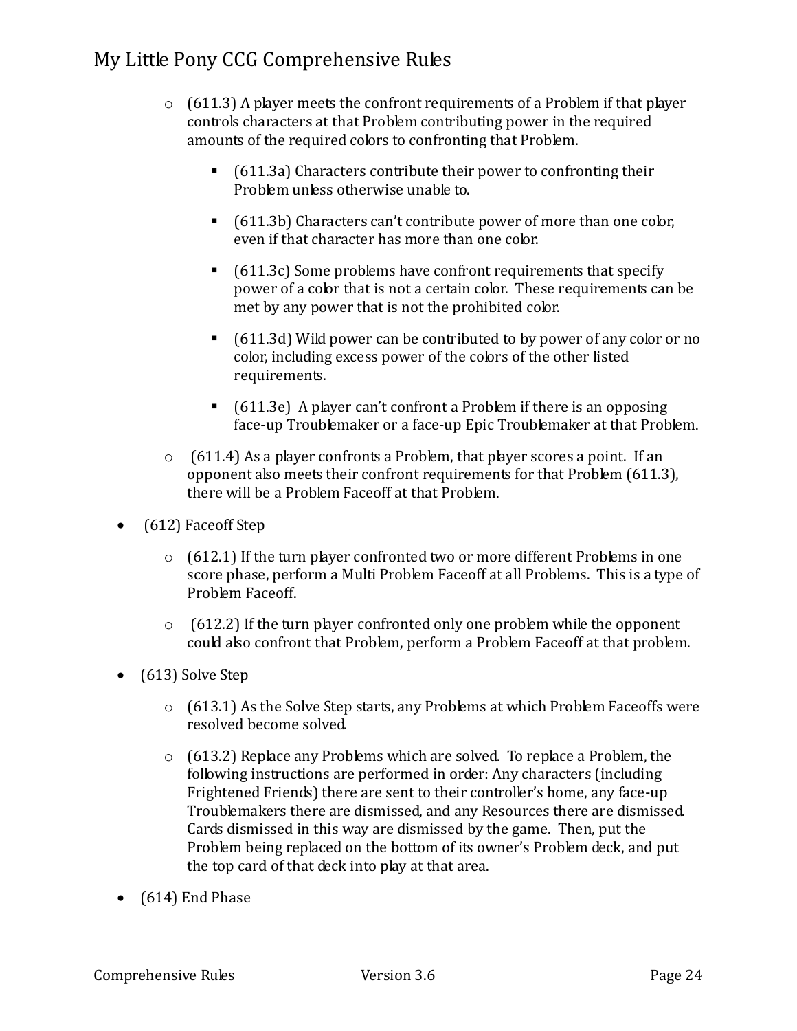- $\circ$  (611.3) A player meets the confront requirements of a Problem if that player controls characters at that Problem contributing power in the required amounts of the required colors to confronting that Problem.
	- (611.3a) Characters contribute their power to confronting their Problem unless otherwise unable to.
	- (611.3b) Characters can't contribute power of more than one color, even if that character has more than one color.
	- $\blacksquare$  (611.3c) Some problems have confront requirements that specify power of a color that is not a certain color. These requirements can be met by any power that is not the prohibited color.
	- (611.3d) Wild power can be contributed to by power of any color or no color, including excess power of the colors of the other listed requirements.
	- $\blacksquare$  (611.3e) A player can't confront a Problem if there is an opposing face-up Troublemaker or a face-up Epic Troublemaker at that Problem.
- $\circ$  (611.4) As a player confronts a Problem, that player scores a point. If an opponent also meets their confront requirements for that Problem (611.3), there will be a Problem Faceoff at that Problem.
- (612) Faceoff Step
	- o (612.1) If the turn player confronted two or more different Problems in one score phase, perform a Multi Problem Faceoff at all Problems. This is a type of Problem Faceoff.
	- $\circ$  (612.2) If the turn player confronted only one problem while the opponent could also confront that Problem, perform a Problem Faceoff at that problem.
- (613) Solve Step
	- $\circ$  (613.1) As the Solve Step starts, any Problems at which Problem Faceoffs were resolved become solved.
	- $\circ$  (613.2) Replace any Problems which are solved. To replace a Problem, the following instructions are performed in order: Any characters (including Frightened Friends) there are sent to their controller's home, any face-up Troublemakers there are dismissed, and any Resources there are dismissed. Cards dismissed in this way are dismissed by the game. Then, put the Problem being replaced on the bottom of its owner's Problem deck, and put the top card of that deck into play at that area.
- (614) End Phase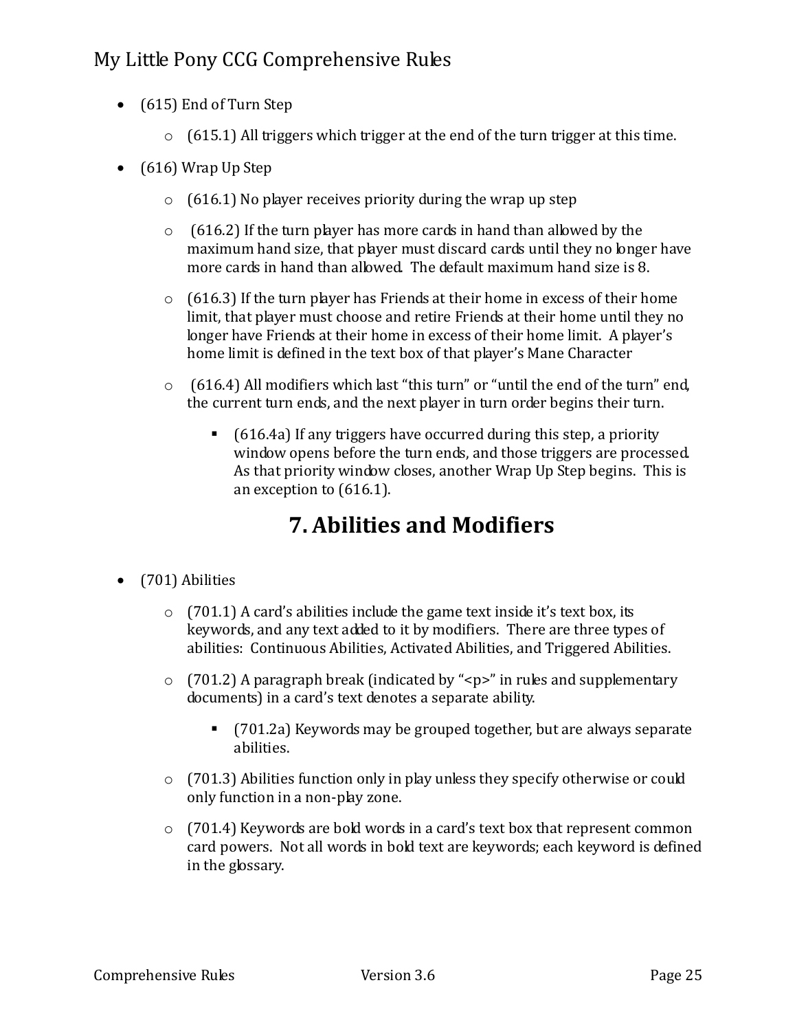- (615) End of Turn Step
	- $\circ$  (615.1) All triggers which trigger at the end of the turn trigger at this time.
- (616) Wrap Up Step
	- $\circ$  (616.1) No player receives priority during the wrap up step
	- $\circ$  (616.2) If the turn player has more cards in hand than allowed by the maximum hand size, that player must discard cards until they no longer have more cards in hand than allowed. The default maximum hand size is 8.
	- o (616.3) If the turn player has Friends at their home in excess of their home limit, that player must choose and retire Friends at their home until they no longer have Friends at their home in excess of their home limit. A player's home limit is defined in the text box of that player's Mane Character
	- o (616.4) All modifiers which last "this turn" or "until the end of the turn" end, the current turn ends, and the next player in turn order begins their turn.
		- $\blacksquare$  (616.4a) If any triggers have occurred during this step, a priority window opens before the turn ends, and those triggers are processed. As that priority window closes, another Wrap Up Step begins. This is an exception to (616.1).

## **7. Abilities and Modifiers**

- (701) Abilities
	- $\circ$  (701.1) A card's abilities include the game text inside it's text box, its keywords, and any text added to it by modifiers. There are three types of abilities: Continuous Abilities, Activated Abilities, and Triggered Abilities.
	- $\circ$  (701.2) A paragraph break (indicated by "<p>" in rules and supplementary documents) in a card's text denotes a separate ability.
		- (701.2a) Keywords may be grouped together, but are always separate abilities.
	- o (701.3) Abilities function only in play unless they specify otherwise or could only function in a non-play zone.
	- o (701.4) Keywords are bold words in a card's text box that represent common card powers. Not all words in bold text are keywords; each keyword is defined in the glossary.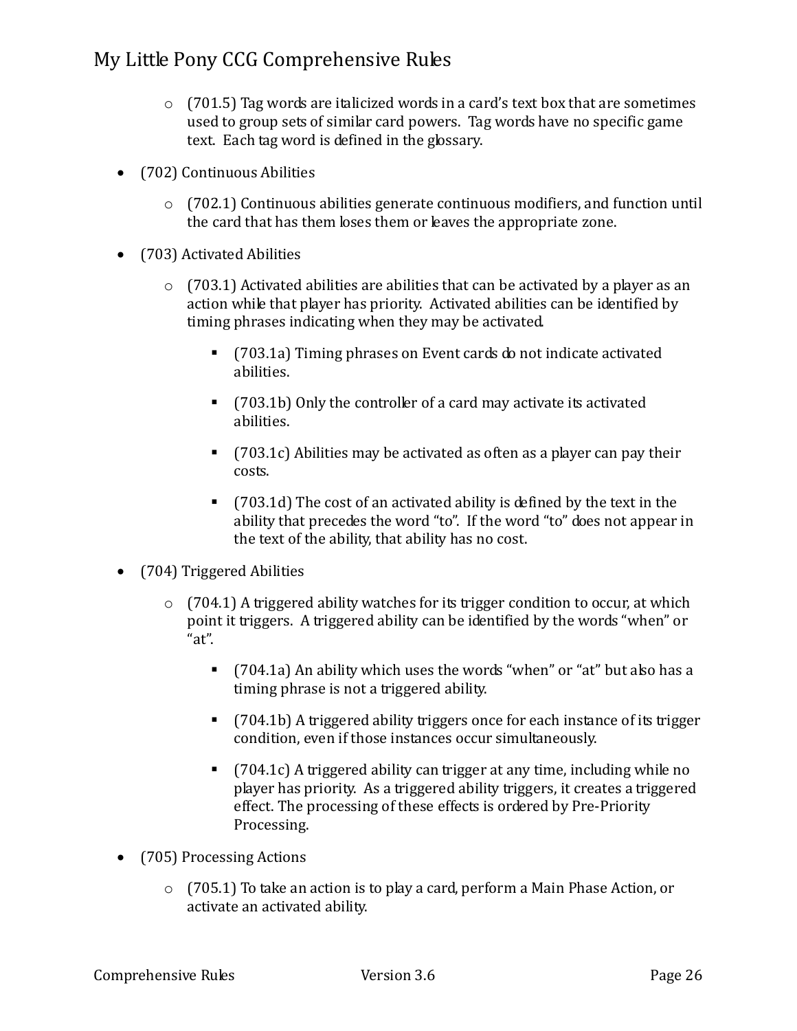- $\circ$  (701.5) Tag words are italicized words in a card's text box that are sometimes used to group sets of similar card powers. Tag words have no specific game text. Each tag word is defined in the glossary.
- (702) Continuous Abilities
	- $\circ$  (702.1) Continuous abilities generate continuous modifiers, and function until the card that has them loses them or leaves the appropriate zone.
- (703) Activated Abilities
	- $\circ$  (703.1) Activated abilities are abilities that can be activated by a player as an action while that player has priority. Activated abilities can be identified by timing phrases indicating when they may be activated.
		- (703.1a) Timing phrases on Event cards do not indicate activated abilities.
		- (703.1b) Only the controller of a card may activate its activated abilities.
		- $\blacksquare$  (703.1c) Abilities may be activated as often as a player can pay their costs.
		- (703.1d) The cost of an activated ability is defined by the text in the ability that precedes the word "to". If the word "to" does not appear in the text of the ability, that ability has no cost.
- (704) Triggered Abilities
	- $\circ$  (704.1) A triggered ability watches for its trigger condition to occur, at which point it triggers. A triggered ability can be identified by the words "when" or "at".
		- (704.1a) An ability which uses the words "when" or "at" but also has a timing phrase is not a triggered ability.
		- $\blacksquare$  (704.1b) A triggered ability triggers once for each instance of its trigger condition, even if those instances occur simultaneously.
		- (704.1c) A triggered ability can trigger at any time, including while no player has priority. As a triggered ability triggers, it creates a triggered effect. The processing of these effects is ordered by Pre-Priority Processing.
- (705) Processing Actions
	- o (705.1) To take an action is to play a card, perform a Main Phase Action, or activate an activated ability.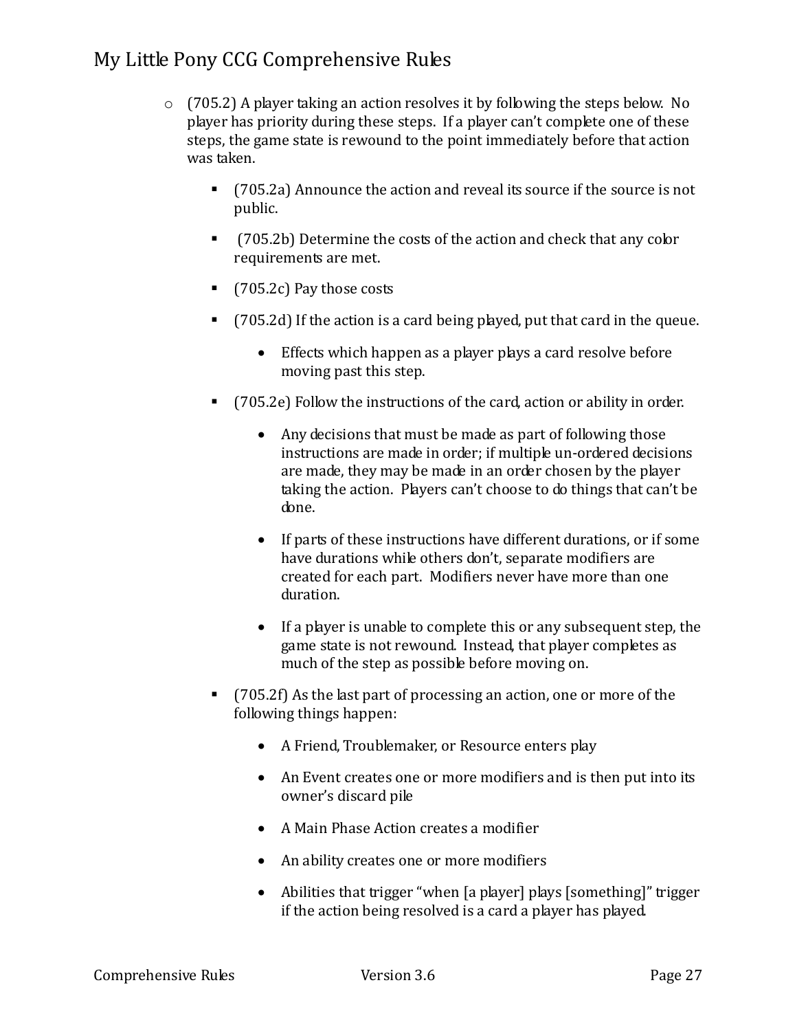- $\circ$  (705.2) A player taking an action resolves it by following the steps below. No player has priority during these steps. If a player can't complete one of these steps, the game state is rewound to the point immediately before that action was taken.
	- (705.2a) Announce the action and reveal its source if the source is not public.
	- (705.2b) Determine the costs of the action and check that any color requirements are met.
	- (705.2c) Pay those costs
	- (705.2d) If the action is a card being played, put that card in the queue.
		- Effects which happen as a player plays a card resolve before moving past this step.
	- (705.2e) Follow the instructions of the card, action or ability in order.
		- Any decisions that must be made as part of following those instructions are made in order; if multiple un-ordered decisions are made, they may be made in an order chosen by the player taking the action. Players can't choose to do things that can't be done.
		- If parts of these instructions have different durations, or if some have durations while others don't, separate modifiers are created for each part. Modifiers never have more than one duration.
		- If a player is unable to complete this or any subsequent step, the game state is not rewound. Instead, that player completes as much of the step as possible before moving on.
	- (705.2f) As the last part of processing an action, one or more of the following things happen:
		- A Friend, Troublemaker, or Resource enters play
		- An Event creates one or more modifiers and is then put into its owner's discard pile
		- A Main Phase Action creates a modifier
		- An ability creates one or more modifiers
		- Abilities that trigger "when [a player] plays [something]" trigger if the action being resolved is a card a player has played.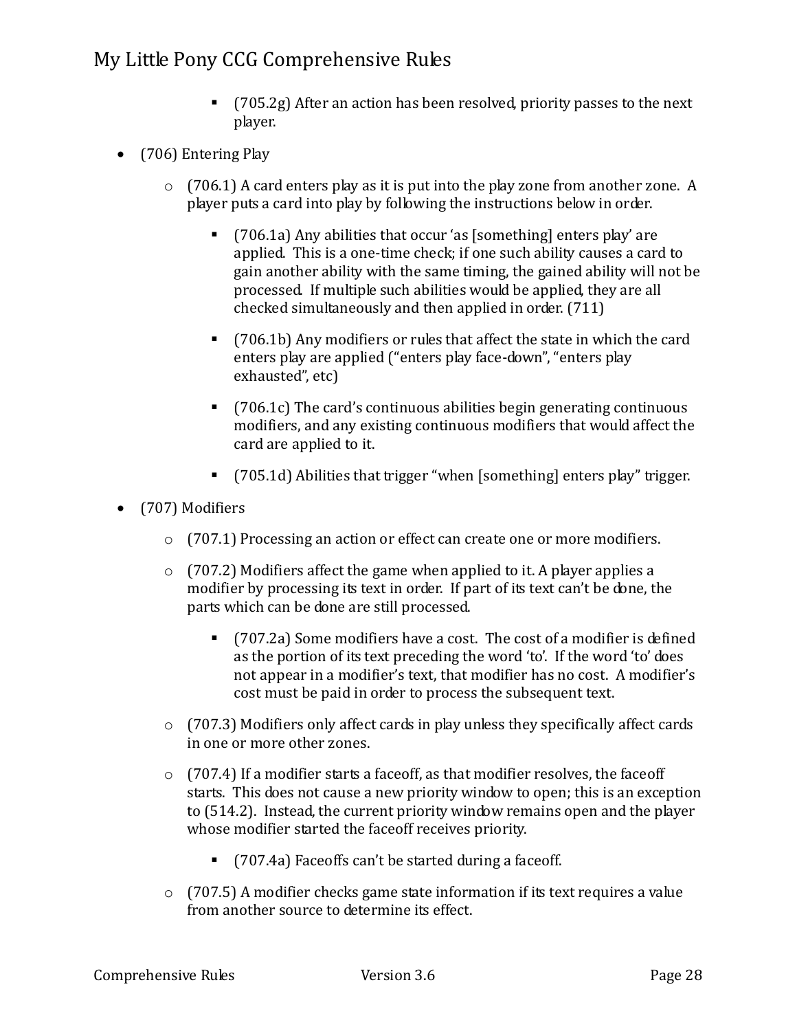- (705.2g) After an action has been resolved, priority passes to the next player.
- (706) Entering Play
	- o (706.1) A card enters play as it is put into the play zone from another zone. A player puts a card into play by following the instructions below in order.
		- (706.1a) Any abilities that occur 'as [something] enters play' are applied. This is a one-time check; if one such ability causes a card to gain another ability with the same timing, the gained ability will not be processed. If multiple such abilities would be applied, they are all checked simultaneously and then applied in order. (711)
		- (706.1b) Any modifiers or rules that affect the state in which the card enters play are applied ("enters play face-down", "enters play exhausted", etc)
		- (706.1c) The card's continuous abilities begin generating continuous modifiers, and any existing continuous modifiers that would affect the card are applied to it.
		- (705.1d) Abilities that trigger "when [something] enters play" trigger.
- (707) Modifiers
	- $\circ$  (707.1) Processing an action or effect can create one or more modifiers.
	- o (707.2) Modifiers affect the game when applied to it. A player applies a modifier by processing its text in order. If part of its text can't be done, the parts which can be done are still processed.
		- (707.2a) Some modifiers have a cost. The cost of a modifier is defined as the portion of its text preceding the word 'to'. If the word 'to' does not appear in a modifier's text, that modifier has no cost. A modifier's cost must be paid in order to process the subsequent text.
	- o (707.3) Modifiers only affect cards in play unless they specifically affect cards in one or more other zones.
	- o (707.4) If a modifier starts a faceoff, as that modifier resolves, the faceoff starts. This does not cause a new priority window to open; this is an exception to (514.2). Instead, the current priority window remains open and the player whose modifier started the faceoff receives priority.
		- (707.4a) Faceoffs can't be started during a faceoff.
	- $\circ$  (707.5) A modifier checks game state information if its text requires a value from another source to determine its effect.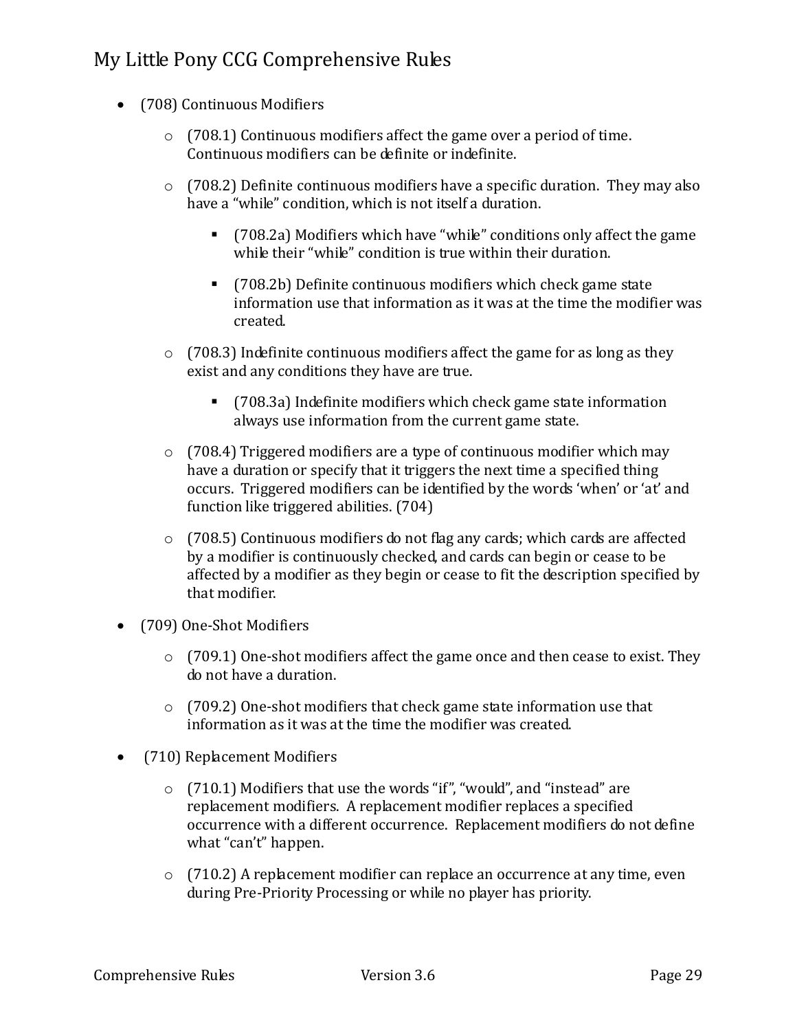- (708) Continuous Modifiers
	- o (708.1) Continuous modifiers affect the game over a period of time. Continuous modifiers can be definite or indefinite.
	- o (708.2) Definite continuous modifiers have a specific duration. They may also have a "while" condition, which is not itself a duration.
		- (708.2a) Modifiers which have "while" conditions only affect the game while their "while" condition is true within their duration.
		- (708.2b) Definite continuous modifiers which check game state information use that information as it was at the time the modifier was created.
	- $\circ$  (708.3) Indefinite continuous modifiers affect the game for as long as they exist and any conditions they have are true.
		- (708.3a) Indefinite modifiers which check game state information always use information from the current game state.
	- o (708.4) Triggered modifiers are a type of continuous modifier which may have a duration or specify that it triggers the next time a specified thing occurs. Triggered modifiers can be identified by the words 'when' or 'at' and function like triggered abilities. (704)
	- o (708.5) Continuous modifiers do not flag any cards; which cards are affected by a modifier is continuously checked, and cards can begin or cease to be affected by a modifier as they begin or cease to fit the description specified by that modifier.
- (709) One-Shot Modifiers
	- o (709.1) One-shot modifiers affect the game once and then cease to exist. They do not have a duration.
	- $\circ$  (709.2) One-shot modifiers that check game state information use that information as it was at the time the modifier was created.
- (710) Replacement Modifiers
	- o (710.1) Modifiers that use the words "if", "would", and "instead" are replacement modifiers. A replacement modifier replaces a specified occurrence with a different occurrence. Replacement modifiers do not define what "can't" happen.
	- $\circ$  (710.2) A replacement modifier can replace an occurrence at any time, even during Pre-Priority Processing or while no player has priority.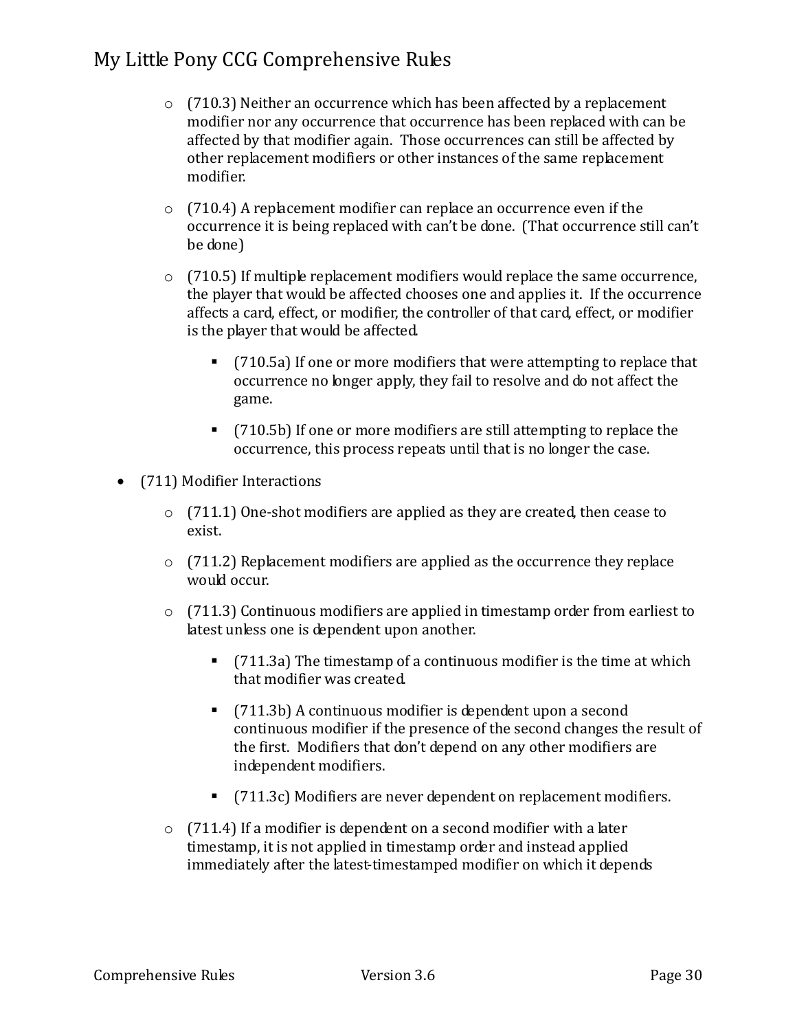- $\circ$  (710.3) Neither an occurrence which has been affected by a replacement modifier nor any occurrence that occurrence has been replaced with can be affected by that modifier again. Those occurrences can still be affected by other replacement modifiers or other instances of the same replacement modifier.
- o (710.4) A replacement modifier can replace an occurrence even if the occurrence it is being replaced with can't be done. (That occurrence still can't be done)
- $\circ$  (710.5) If multiple replacement modifiers would replace the same occurrence, the player that would be affected chooses one and applies it. If the occurrence affects a card, effect, or modifier, the controller of that card, effect, or modifier is the player that would be affected.
	- (710.5a) If one or more modifiers that were attempting to replace that occurrence no longer apply, they fail to resolve and do not affect the game.
	- (710.5b) If one or more modifiers are still attempting to replace the occurrence, this process repeats until that is no longer the case.
- (711) Modifier Interactions
	- $\circ$  (711.1) One-shot modifiers are applied as they are created, then cease to exist.
	- o (711.2) Replacement modifiers are applied as the occurrence they replace would occur.
	- $\circ$  (711.3) Continuous modifiers are applied in timestamp order from earliest to latest unless one is dependent upon another.
		- (711.3a) The timestamp of a continuous modifier is the time at which that modifier was created.
		- (711.3b) A continuous modifier is dependent upon a second continuous modifier if the presence of the second changes the result of the first. Modifiers that don't depend on any other modifiers are independent modifiers.
		- (711.3c) Modifiers are never dependent on replacement modifiers.
	- $\circ$  (711.4) If a modifier is dependent on a second modifier with a later timestamp, it is not applied in timestamp order and instead applied immediately after the latest-timestamped modifier on which it depends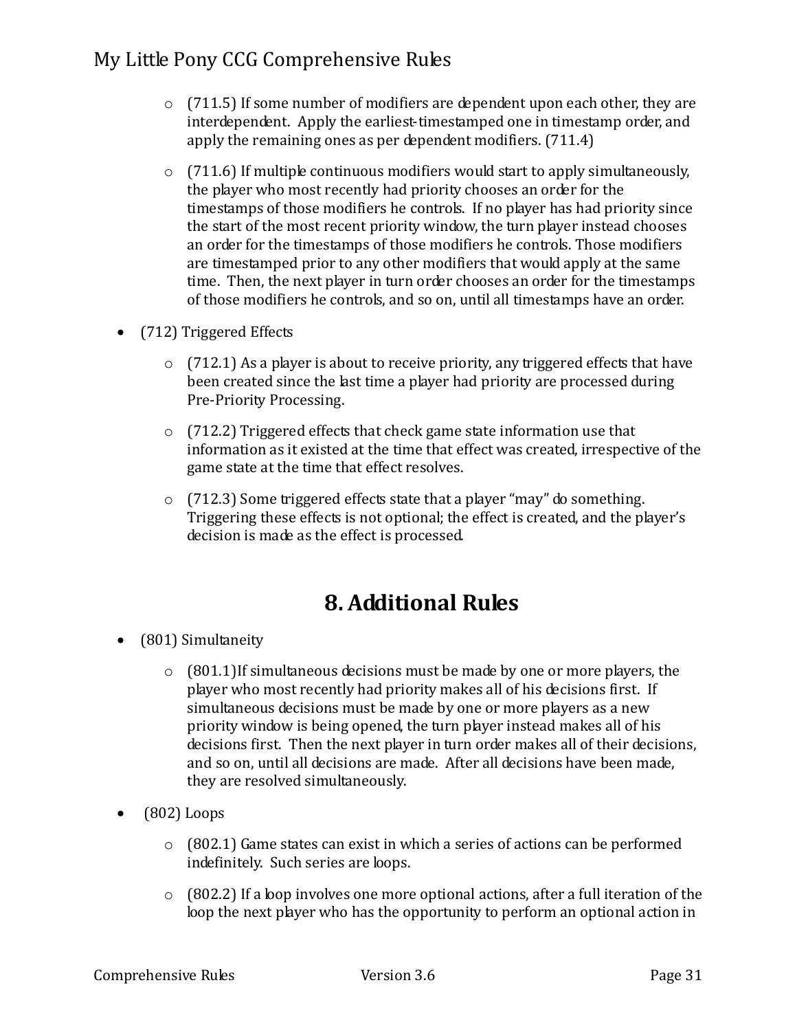- $\circ$  (711.5) If some number of modifiers are dependent upon each other, they are interdependent. Apply the earliest-timestamped one in timestamp order, and apply the remaining ones as per dependent modifiers. (711.4)
- $\circ$  (711.6) If multiple continuous modifiers would start to apply simultaneously, the player who most recently had priority chooses an order for the timestamps of those modifiers he controls. If no player has had priority since the start of the most recent priority window, the turn player instead chooses an order for the timestamps of those modifiers he controls. Those modifiers are timestamped prior to any other modifiers that would apply at the same time. Then, the next player in turn order chooses an order for the timestamps of those modifiers he controls, and so on, until all timestamps have an order.
- (712) Triggered Effects
	- $\circ$  (712.1) As a player is about to receive priority, any triggered effects that have been created since the last time a player had priority are processed during Pre-Priority Processing.
	- o (712.2) Triggered effects that check game state information use that information as it existed at the time that effect was created, irrespective of the game state at the time that effect resolves.
	- o (712.3) Some triggered effects state that a player "may" do something. Triggering these effects is not optional; the effect is created, and the player's decision is made as the effect is processed.

## **8. Additional Rules**

- (801) Simultaneity
	- $\circ$  (801.1) If simultaneous decisions must be made by one or more players, the player who most recently had priority makes all of his decisions first. If simultaneous decisions must be made by one or more players as a new priority window is being opened, the turn player instead makes all of his decisions first. Then the next player in turn order makes all of their decisions, and so on, until all decisions are made. After all decisions have been made, they are resolved simultaneously.
- $\bullet$  (802) Loops
	- o (802.1) Game states can exist in which a series of actions can be performed indefinitely. Such series are loops.
	- o (802.2) If a loop involves one more optional actions, after a full iteration of the loop the next player who has the opportunity to perform an optional action in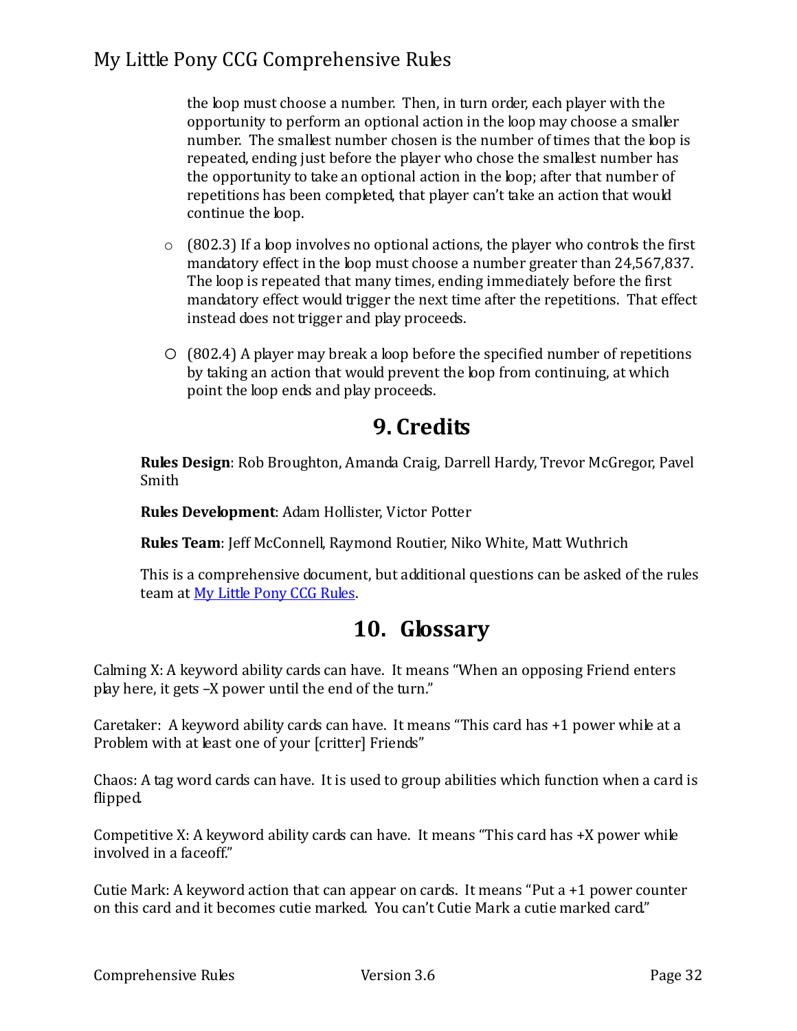the loop must choose a number. Then, in turn order, each player with the opportunity to perform an optional action in the loop may choose a smaller number. The smallest number chosen is the number of times that the loop is repeated, ending just before the player who chose the smallest number has the opportunity to take an optional action in the loop; after that number of repetitions has been completed, that player can't take an action that would continue the loop.

- $\circ$  (802.3) If a loop involves no optional actions, the player who controls the first mandatory effect in the loop must choose a number greater than 24,567,837. The loop is repeated that many times, ending immediately before the first mandatory effect would trigger the next time after the repetitions. That effect instead does not trigger and play proceeds.
- o (802.4) A player may break a loop before the specified number of repetitions by taking an action that would prevent the loop from continuing, at which point the loop ends and play proceeds.

## **9. Credits**

**Rules Design**: Rob Broughton, Amanda Craig, Darrell Hardy, Trevor McGregor, Pavel Smith

**Rules Development**: Adam Hollister, Victor Potter

**Rules Team**: Jeff McConnell, Raymond Routier, Niko White, Matt Wuthrich

This is a comprehensive document, but additional questions can be asked of the rules team at My Little Pony CCG Rules.

# **10. Glossary**

Calming X: A keyword ability cards can have. It means "When an opposing Friend enters play here, it gets –X power until the end of the turn."

Caretaker: A keyword ability cards can have. It means "This card has +1 power while at a Problem with at least one of your [critter] Friends"

Chaos: A tag word cards can have. It is used to group abilities which function when a card is flipped.

Competitive X: A keyword ability cards can have. It means "This card has +X power while involved in a faceoff."

Cutie Mark: A keyword action that can appear on cards. It means "Put a +1 power counter on this card and it becomes cutie marked. You can't Cutie Mark a cutie marked card."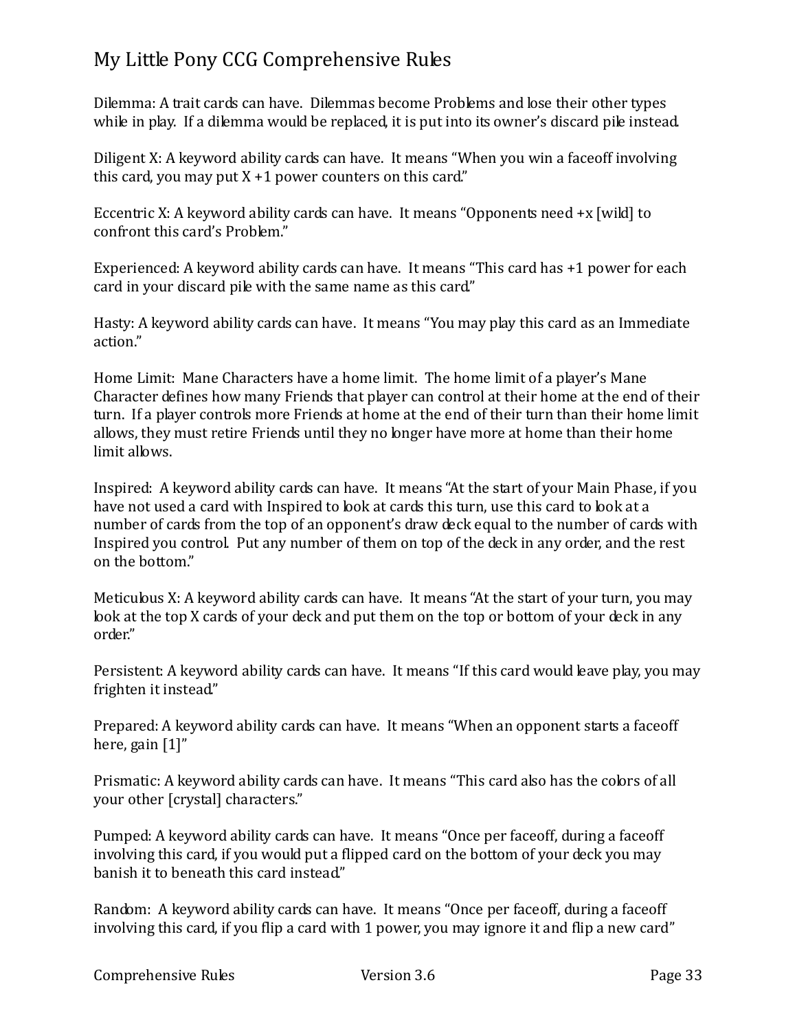Dilemma: A trait cards can have. Dilemmas become Problems and lose their other types while in play. If a dilemma would be replaced, it is put into its owner's discard pile instead.

Diligent X: A keyword ability cards can have. It means "When you win a faceoff involving this card, you may put  $X + 1$  power counters on this card."

Eccentric X: A keyword ability cards can have. It means "Opponents need +x [wild] to confront this card's Problem."

Experienced: A keyword ability cards can have. It means "This card has +1 power for each card in your discard pile with the same name as this card."

Hasty: A keyword ability cards can have. It means "You may play this card as an Immediate action."

Home Limit: Mane Characters have a home limit. The home limit of a player's Mane Character defines how many Friends that player can control at their home at the end of their turn. If a player controls more Friends at home at the end of their turn than their home limit allows, they must retire Friends until they no longer have more at home than their home limit allows.

Inspired: A keyword ability cards can have. It means "At the start of your Main Phase, if you have not used a card with Inspired to look at cards this turn, use this card to look at a number of cards from the top of an opponent's draw deck equal to the number of cards with Inspired you control. Put any number of them on top of the deck in any order, and the rest on the bottom."

Meticulous X: A keyword ability cards can have. It means "At the start of your turn, you may look at the top X cards of your deck and put them on the top or bottom of your deck in any order."

Persistent: A keyword ability cards can have. It means "If this card would leave play, you may frighten it instead."

Prepared: A keyword ability cards can have. It means "When an opponent starts a faceoff here, gain [1]"

Prismatic: A keyword ability cards can have. It means "This card also has the colors of all your other [crystal] characters."

Pumped: A keyword ability cards can have. It means "Once per faceoff, during a faceoff involving this card, if you would put a flipped card on the bottom of your deck you may banish it to beneath this card instead."

Random: A keyword ability cards can have. It means "Once per faceoff, during a faceoff involving this card, if you flip a card with 1 power, you may ignore it and flip a new card"